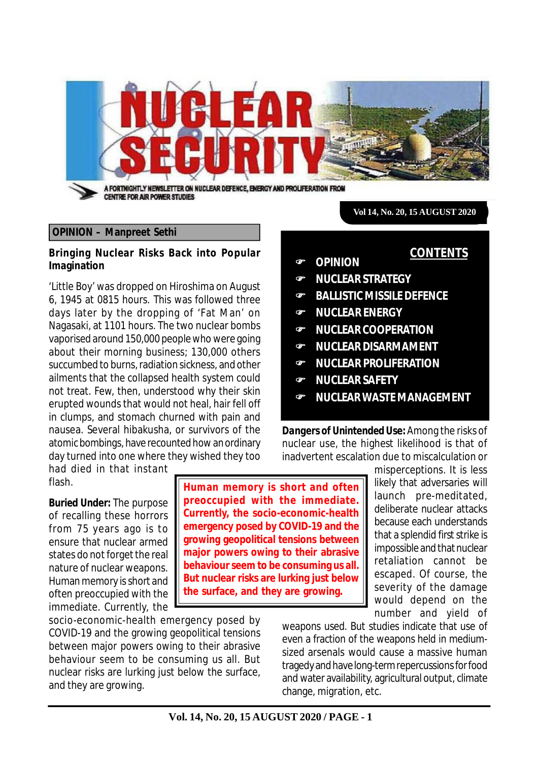

#### **OPINION – Manpreet Sethi**

#### **Bringing Nuclear Risks Back into Popular Imagination**

'Little Boy' was dropped on Hiroshima on August 6, 1945 at 0815 hours. This was followed three days later by the dropping of 'Fat Man' on Nagasaki, at 1101 hours. The two nuclear bombs vaporised around 150,000 people who were going about their morning business; 130,000 others succumbed to burns, radiation sickness, and other ailments that the collapsed health system could not treat. Few, then, understood why their skin erupted wounds that would not heal, hair fell off in clumps, and stomach churned with pain and nausea. Several hibakusha, or survivors of the atomic bombings, have recounted how an ordinary day turned into one where they wished they too **Vol 14, No. 20, 15 AUGUST 2020**

**CONTENTS**

- **OPINION**
- **NUCLEAR STRATEGY**
- **BALLISTIC MISSILE DEFENCE**
- **NUCLEAR ENERGY**
- **NUCLEAR COOPERATION**
- **NUCLEAR DISARMAMENT**
- **NUCLEAR PROLIFERATION**
- **NUCLEAR SAFETY**
- **NUCLEAR WASTE MANAGEMENT**

*Dangers of Unintended Use:* Among the risks of nuclear use, the highest likelihood is that of inadvertent escalation due to miscalculation or

had died in that instant flash.

*Buried Under:* The purpose of recalling these horrors from 75 years ago is to ensure that nuclear armed states do not forget the real nature of nuclear weapons. Human memory is short and often preoccupied with the immediate. Currently, the

socio-economic-health emergency posed by COVID-19 and the growing geopolitical tensions between major powers owing to their abrasive behaviour seem to be consuming us all. But nuclear risks are lurking just below the surface, and they are growing.

**Human memory is short and often preoccupied with the immediate. Currently, the socio-economic-health emergency posed by COVID-19 and the growing geopolitical tensions between major powers owing to their abrasive behaviour seem to be consuming us all. But nuclear risks are lurking just below the surface, and they are growing.**

misperceptions. It is less likely that adversaries will launch pre-meditated, deliberate nuclear attacks because each understands that a splendid first strike is impossible and that nuclear retaliation cannot be escaped. Of course, the severity of the damage would depend on the number and yield of

weapons used. But studies indicate that use of even a fraction of the weapons held in mediumsized arsenals would cause a massive human tragedy and have long-term repercussions for food and water availability, agricultural output, climate change, migration, etc.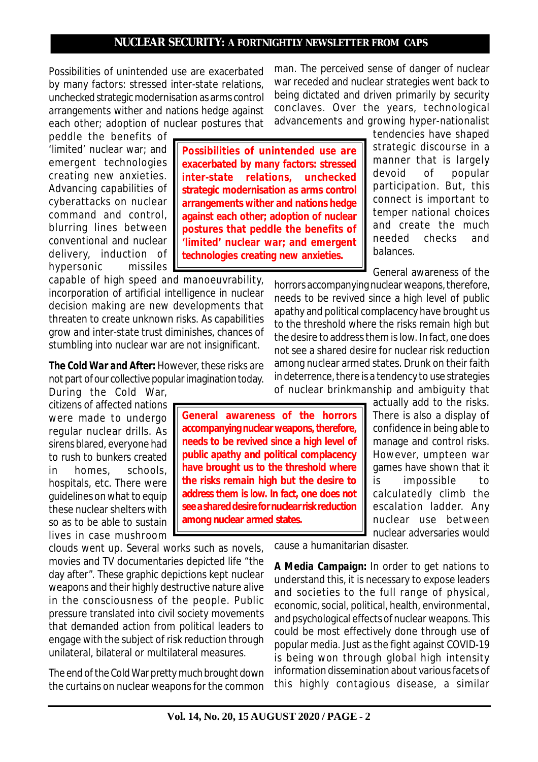Possibilities of unintended use are exacerbated by many factors: stressed inter-state relations, unchecked strategic modernisation as arms control arrangements wither and nations hedge against each other; adoption of nuclear postures that

peddle the benefits of 'limited' nuclear war; and emergent technologies creating new anxieties. Advancing capabilities of cyberattacks on nuclear command and control, blurring lines between conventional and nuclear delivery, induction of hypersonic missiles

capable of high speed and manoeuvrability, incorporation of artificial intelligence in nuclear decision making are new developments that threaten to create unknown risks. As capabilities grow and inter-state trust diminishes, chances of stumbling into nuclear war are not insignificant.

*The Cold War and After:* However, these risks are not part of our collective popular imagination today. During the Cold War,

citizens of affected nations were made to undergo regular nuclear drills. As sirens blared, everyone had to rush to bunkers created in homes, schools, hospitals, etc. There were guidelines on what to equip these nuclear shelters with so as to be able to sustain lives in case mushroom

clouds went up. Several works such as novels, movies and TV documentaries depicted life "the day after". These graphic depictions kept nuclear weapons and their highly destructive nature alive in the consciousness of the people. Public pressure translated into civil society movements that demanded action from political leaders to engage with the subject of risk reduction through unilateral, bilateral or multilateral measures.

The end of the Cold War pretty much brought down the curtains on nuclear weapons for the common man. The perceived sense of danger of nuclear war receded and nuclear strategies went back to being dictated and driven primarily by security conclaves. Over the years, technological advancements and growing hyper-nationalist

**Possibilities of unintended use are exacerbated by many factors: stressed inter-state relations, unchecked strategic modernisation as arms control arrangements wither and nations hedge against each other; adoption of nuclear postures that peddle the benefits of 'limited' nuclear war; and emergent technologies creating new anxieties.**

tendencies have shaped strategic discourse in a manner that is largely devoid of popular participation. But, this connect is important to temper national choices and create the much needed checks and balances.

General awareness of the

horrors accompanying nuclear weapons, therefore, needs to be revived since a high level of public apathy and political complacency have brought us to the threshold where the risks remain high but the desire to address them is low. In fact, one does not see a shared desire for nuclear risk reduction among nuclear armed states. Drunk on their faith in deterrence, there is a tendency to use strategies of nuclear brinkmanship and ambiguity that

> actually add to the risks. There is also a display of confidence in being able to manage and control risks. However, umpteen war games have shown that it is impossible to calculatedly climb the escalation ladder. Any nuclear use between nuclear adversaries would

**General awareness of the horrors accompanying nuclear weapons, therefore, needs to be revived since a high level of public apathy and political complacency have brought us to the threshold where the risks remain high but the desire to address them is low. In fact, one does not see a shared desire for nuclear risk reduction among nuclear armed states.**

cause a humanitarian disaster.

*A Media Campaign:* In order to get nations to understand this, it is necessary to expose leaders and societies to the full range of physical, economic, social, political, health, environmental, and psychological effects of nuclear weapons. This could be most effectively done through use of popular media. Just as the fight against COVID-19 is being won through global high intensity information dissemination about various facets of this highly contagious disease, a similar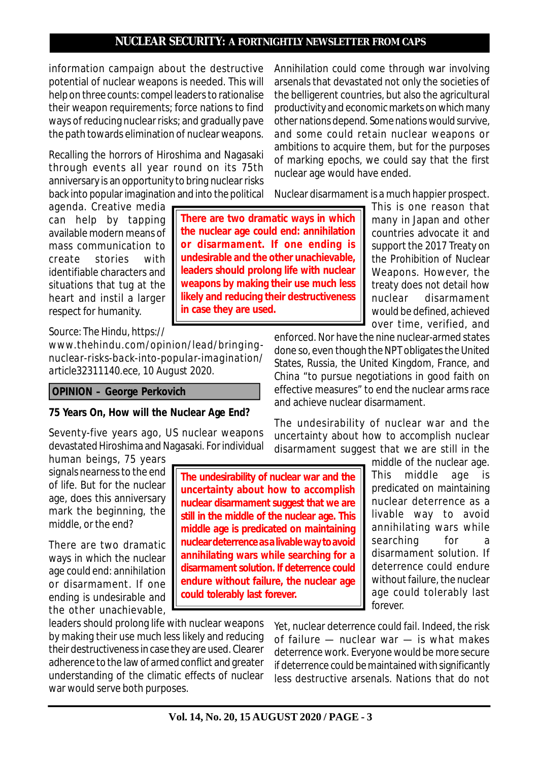**There are two dramatic ways in which the nuclear age could end: annihilation or disarmament. If one ending is undesirable and the other unachievable, leaders should prolong life with nuclear weapons by making their use much less**

information campaign about the destructive potential of nuclear weapons is needed. This will help on three counts: compel leaders to rationalise their weapon requirements; force nations to find ways of reducing nuclear risks; and gradually pave the path towards elimination of nuclear weapons.

Recalling the horrors of Hiroshima and Nagasaki through events all year round on its 75th anniversary is an opportunity to bring nuclear risks back into popular imagination and into the political

agenda. Creative media can help by tapping available modern means of mass communication to create stories with identifiable characters and situations that tug at the heart and instil a larger respect for humanity.

*Source: The Hindu, https://*

*www.thehindu.com/opinion/lead/bringingnuclear-risks-back-into-popular-imagination/ article32311140.ece, 10 August 2020.*

#### **OPINION – George Perkovich**

#### **75 Years On, How will the Nuclear Age End?**

Seventy-five years ago, US nuclear weapons devastated Hiroshima and Nagasaki. For individual

human beings, 75 years signals nearness to the end of life. But for the nuclear age, does this anniversary mark the beginning, the middle, or the end?

There are two dramatic ways in which the nuclear age could end: annihilation or disarmament. If one ending is undesirable and the other unachievable,

leaders should prolong life with nuclear weapons by making their use much less likely and reducing their destructiveness in case they are used. Clearer adherence to the law of armed conflict and greater understanding of the climatic effects of nuclear war would serve both purposes.

Annihilation could come through war involving arsenals that devastated not only the societies of the belligerent countries, but also the agricultural productivity and economic markets on which many other nations depend. Some nations would survive, and some could retain nuclear weapons or ambitions to acquire them, but for the purposes of marking epochs, we could say that the first nuclear age would have ended.

Nuclear disarmament is a much happier prospect.

This is one reason that many in Japan and other countries advocate it and support the 2017 Treaty on the Prohibition of Nuclear Weapons. However, the treaty does not detail how nuclear disarmament would be defined, achieved over time, verified, and

enforced. Nor have the nine nuclear-armed states done so, even though the NPT obligates the United States, Russia, the United Kingdom, France, and China "to pursue negotiations in good faith on effective measures" to end the nuclear arms race and achieve nuclear disarmament.

The undesirability of nuclear war and the uncertainty about how to accomplish nuclear disarmament suggest that we are still in the

> middle of the nuclear age. This middle age is predicated on maintaining nuclear deterrence as a livable way to avoid annihilating wars while searching for disarmament solution. If deterrence could endure without failure, the nuclear age could tolerably last forever.

Yet, nuclear deterrence could fail. Indeed, the risk of failure — nuclear war — is what makes deterrence work. Everyone would be more secure if deterrence could be maintained with significantly less destructive arsenals. Nations that do not

**The undesirability of nuclear war and the uncertainty about how to accomplish nuclear disarmament suggest that we are still in the middle of the nuclear age. This middle age is predicated on maintaining nuclear deterrence as a livable way to avoid annihilating wars while searching for a disarmament solution. If deterrence could endure without failure, the nuclear age could tolerably last forever.**

# **likely and reducing their destructiveness in case they are used.**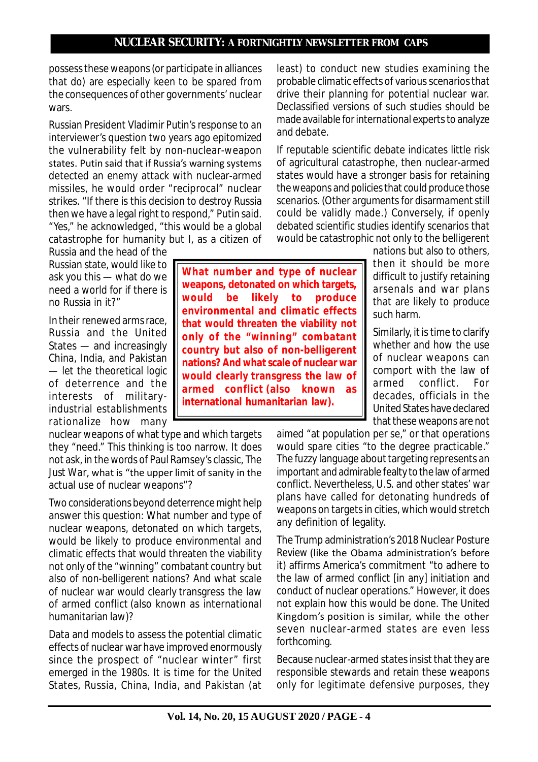possess these weapons (or participate in alliances that do) are especially keen to be spared from the consequences of other governments' nuclear wars.

Russian President Vladimir Putin's response to an interviewer's question two years ago epitomized the vulnerability felt by non-nuclear-weapon states. Putin said that if Russia's warning systems detected an enemy attack with nuclear-armed missiles, he would order "reciprocal" nuclear strikes. "If there is this decision to destroy Russia then we have a legal right to respond," Putin said. "Yes," he acknowledged, "this would be a global catastrophe for humanity but I, as a citizen of

Russia and the head of the Russian state, would like to ask you this — what do we need a world for if there is no Russia in it?"

In their renewed arms race, Russia and the United States — and increasingly China, India, and Pakistan — let the theoretical logic of deterrence and the interests of militaryindustrial establishments rationalize how many

nuclear weapons of what type and which targets they "need." This thinking is too narrow. It does not ask, in the words of Paul Ramsey's classic, *The Just War*, what is "the upper limit of sanity in the actual use of nuclear weapons"?

Two considerations beyond deterrence might help answer this question: What number and type of nuclear weapons, detonated on which targets, would be likely to produce environmental and climatic effects that would threaten the viability not only of the "winning" combatant country but also of non-belligerent nations? And what scale of nuclear war would clearly transgress the law of armed conflict (also known as international humanitarian law)?

Data and models to assess the potential climatic effects of nuclear war have improved enormously since the prospect of "nuclear winter" first emerged in the 1980s. It is time for the United States, Russia, China, India, and Pakistan (at

least) to conduct new studies examining the probable climatic effects of various scenarios that drive their planning for potential nuclear war. Declassified versions of such studies should be made available for international experts to analyze and debate.

If reputable scientific debate indicates little risk of agricultural catastrophe, then nuclear-armed states would have a stronger basis for retaining the weapons and policies that could produce those scenarios. (Other arguments for disarmament still could be validly made.) Conversely, if openly debated scientific studies identify scenarios that would be catastrophic not only to the belligerent

> nations but also to others, then it should be more difficult to justify retaining arsenals and war plans that are likely to produce such harm.

> Similarly, it is time to clarify whether and how the use of nuclear weapons can comport with the law of armed conflict. For decades, officials in the United States have declared that these weapons are not

aimed "at population per se," or that operations would spare cities "to the degree practicable." The fuzzy language about targeting represents an important and admirable fealty to the law of armed conflict. Nevertheless, U.S. and other states' war plans have called for detonating hundreds of weapons on targets in cities, which would stretch any definition of legality.

The Trump administration's 2018 *Nuclear Posture Review* (like the Obama administration's before it) affirms America's commitment "to adhere to the law of armed conflict [in any] initiation and conduct of nuclear operations." However, it does not explain how this would be done. The United Kingdom's position is similar, while the other seven nuclear-armed states are even less forthcoming.

Because nuclear-armed states insist that they are responsible stewards and retain these weapons only for legitimate defensive purposes, they

**What number and type of nuclear weapons, detonated on which targets, would be likely to produce environmental and climatic effects that would threaten the viability not only of the "winning" combatant country but also of non-belligerent nations? And what scale of nuclear war would clearly transgress the law of armed conflict (also known as international humanitarian law).**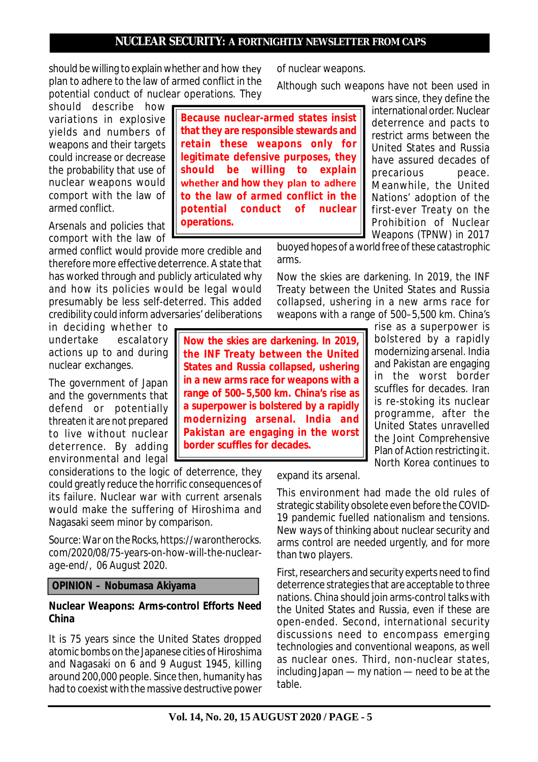should be willing to explain whether *and how* they plan to adhere to the law of armed conflict in the potential conduct of nuclear operations. They

should describe how variations in explosive yields and numbers of weapons and their targets could increase or decrease the probability that use of nuclear weapons would comport with the law of armed conflict.

Arsenals and policies that comport with the law of

armed conflict would provide more credible and therefore more effective deterrence. A state that has worked through and publicly articulated why and how its policies would be legal would presumably be less self-deterred. This added credibility could inform adversaries' deliberations

in deciding whether to undertake escalatory actions up to and during nuclear exchanges.

The government of Japan and the governments that defend or potentially threaten it are not prepared to live without nuclear deterrence. By adding environmental and legal

considerations to the logic of deterrence, they could greatly reduce the horrific consequences of its failure. Nuclear war with current arsenals would make the suffering of Hiroshima and Nagasaki seem minor by comparison.

*Source: War on the Rocks, https://warontherocks. com/2020/08/75-years-on-how-will-the-nuclearage-end/*, *06 August 2020.*

#### **OPINION – Nobumasa Akiyama**

#### **Nuclear Weapons: Arms-control Efforts Need China**

It is 75 years since the United States dropped atomic bombs on the Japanese cities of Hiroshima and Nagasaki on 6 and 9 August 1945, killing around 200,000 people. Since then, humanity has had to coexist with the massive destructive power

of nuclear weapons.

Although such weapons have not been used in

**Because nuclear-armed states insist that they are responsible stewards and retain these weapons only for legitimate defensive purposes, they should be willing to explain whether** *and how* **they plan to adhere to the law of armed conflict in the potential conduct of nuclear operations.**

wars since, they define the international order. Nuclear deterrence and pacts to restrict arms between the United States and Russia have assured decades of precarious peace. Meanwhile, the United Nations' adoption of the first-ever Treaty on the Prohibition of Nuclear Weapons (TPNW) in 2017

buoyed hopes of a world free of these catastrophic arms.

Now the skies are darkening. In 2019, the INF Treaty between the United States and Russia collapsed, ushering in a new arms race for weapons with a range of 500–5,500 km. China's

**Now the skies are darkening. In 2019, the INF Treaty between the United States and Russia collapsed, ushering in a new arms race for weapons with a range of 500–5,500 km. China's rise as a superpower is bolstered by a rapidly modernizing arsenal. India and Pakistan are engaging in the worst border scuffles for decades.**

rise as a superpower is bolstered by a rapidly modernizing arsenal. India and Pakistan are engaging in the worst border scuffles for decades. Iran is re-stoking its nuclear programme, after the United States unravelled the Joint Comprehensive Plan of Action restricting it. North Korea continues to

expand its arsenal.

This environment had made the old rules of strategic stability obsolete even before the COVID-19 pandemic fuelled nationalism and tensions. New ways of thinking about nuclear security and arms control are needed urgently, and for more than two players.

First, researchers and security experts need to find deterrence strategies that are acceptable to three nations. China should join arms-control talks with the United States and Russia, even if these are open-ended. Second, international security discussions need to encompass emerging technologies and conventional weapons, as well as nuclear ones. Third, non-nuclear states, including Japan — my nation — need to be at the table.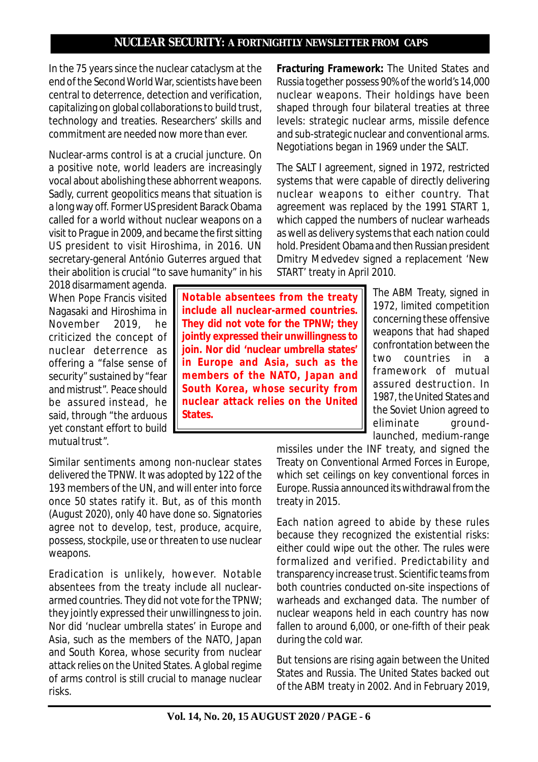In the 75 years since the nuclear cataclysm at the end of the Second World War, scientists have been central to deterrence, detection and verification, capitalizing on global collaborations to build trust, technology and treaties. Researchers' skills and commitment are needed now more than ever.

Nuclear-arms control is at a crucial juncture. On a positive note, world leaders are increasingly vocal about abolishing these abhorrent weapons. Sadly, current geopolitics means that situation is a long way off. Former US president Barack Obama called for a world without nuclear weapons on a visit to Prague in 2009, and became the first sitting US president to visit Hiroshima, in 2016. UN secretary-general António Guterres argued that their abolition is crucial "to save humanity" in his

2018 disarmament agenda. When Pope Francis visited Nagasaki and Hiroshima in November 2019, he criticized the concept of nuclear deterrence as offering a "false sense of security" sustained by "fear and mistrust". Peace should be assured instead, he said, through "the arduous yet constant effort to build mutual trust".

**Notable absentees from the treaty include all nuclear-armed countries. They did not vote for the TPNW; they jointly expressed their unwillingness to join. Nor did 'nuclear umbrella states' in Europe and Asia, such as the members of the NATO, Japan and South Korea, whose security from nuclear attack relies on the United States.**

*Fracturing Framework:* The United States and Russia together possess 90% of the world's 14,000 nuclear weapons. Their holdings have been shaped through four bilateral treaties at three levels: strategic nuclear arms, missile defence and sub-strategic nuclear and conventional arms. Negotiations began in 1969 under the SALT.

The SALT I agreement, signed in 1972, restricted systems that were capable of directly delivering nuclear weapons to either country. That agreement was replaced by the 1991 START 1, which capped the numbers of nuclear warheads as well as delivery systems that each nation could hold. President Obama and then Russian president Dmitry Medvedev signed a replacement 'New START' treaty in April 2010.

> The ABM Treaty, signed in 1972, limited competition concerning these offensive weapons that had shaped confrontation between the two countries in a framework of mutual assured destruction. In 1987, the United States and the Soviet Union agreed to eliminate groundlaunched, medium-range

Similar sentiments among non-nuclear states delivered the TPNW. It was adopted by 122 of the 193 members of the UN, and will enter into force once 50 states ratify it. But, as of this month (August 2020), only 40 have done so. Signatories agree not to develop, test, produce, acquire, possess, stockpile, use or threaten to use nuclear weapons.

Eradication is unlikely, however. Notable absentees from the treaty include all nucleararmed countries. They did not vote for the TPNW; they jointly expressed their unwillingness to join. Nor did 'nuclear umbrella states' in Europe and Asia, such as the members of the NATO, Japan and South Korea, whose security from nuclear attack relies on the United States. A global regime of arms control is still crucial to manage nuclear risks.

missiles under the INF treaty, and signed the Treaty on Conventional Armed Forces in Europe, which set ceilings on key conventional forces in Europe. Russia announced its withdrawal from the treaty in 2015.

Each nation agreed to abide by these rules because they recognized the existential risks: either could wipe out the other. The rules were formalized and verified. Predictability and transparency increase trust. Scientific teams from both countries conducted on-site inspections of warheads and exchanged data. The number of nuclear weapons held in each country has now fallen to around 6,000, or one-fifth of their peak during the cold war.

But tensions are rising again between the United States and Russia. The United States backed out of the ABM treaty in 2002. And in February 2019,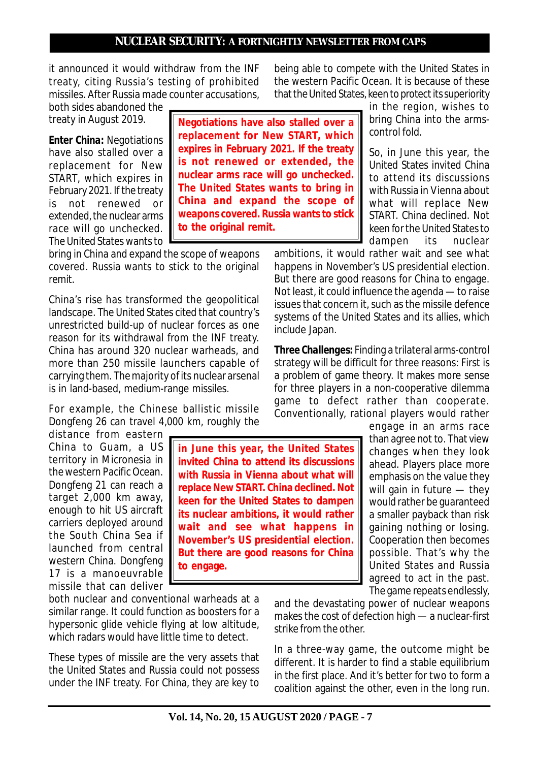**Negotiations have also stalled over a replacement for New START, which expires in February 2021. If the treaty is not renewed or extended, the nuclear arms race will go unchecked. The United States wants to bring in China and expand the scope of weapons covered. Russia wants to stick**

**to the original remit.**

it announced it would withdraw from the INF treaty, citing Russia's testing of prohibited missiles. After Russia made counter accusations,

both sides abandoned the treaty in August 2019.

*Enter China: Negotiations* have also stalled over a replacement for New START, which expires in February 2021. If the treaty is not renewed or extended, the nuclear arms race will go unchecked. The United States wants to

bring in China and expand the scope of weapons covered. Russia wants to stick to the original remit.

China's rise has transformed the geopolitical landscape. The United States cited that country's unrestricted build-up of nuclear forces as one reason for its withdrawal from the INF treaty. China has around 320 nuclear warheads, and more than 250 missile launchers capable of carrying them. The majority of its nuclear arsenal is in land-based, medium-range missiles.

For example, the Chinese ballistic missile Dongfeng 26 can travel 4,000 km, roughly the

distance from eastern China to Guam, a US territory in Micronesia in the western Pacific Ocean. Dongfeng 21 can reach a target 2,000 km away, enough to hit US aircraft carriers deployed around the South China Sea if launched from central western China. Dongfeng 17 is a manoeuvrable missile that can deliver

**in June this year, the United States invited China to attend its discussions with Russia in Vienna about what will replace New START. China declined. Not keen for the United States to dampen its nuclear ambitions, it would rather wait and see what happens in November's US presidential election. But there are good reasons for China to engage.**

both nuclear and conventional warheads at a similar range. It could function as boosters for a hypersonic glide vehicle flying at low altitude, which radars would have little time to detect.

These types of missile are the very assets that the United States and Russia could not possess under the INF treaty. For China, they are key to being able to compete with the United States in the western Pacific Ocean. It is because of these that the United States, keen to protect its superiority

in the region, wishes to bring China into the armscontrol fold.

So, in June this year, the United States invited China to attend its discussions with Russia in Vienna about what will replace New START. China declined. Not keen for the United States to dampen its nuclear

ambitions, it would rather wait and see what happens in November's US presidential election. But there are good reasons for China to engage. Not least, it could influence the agenda — to raise issues that concern it, such as the missile defence systems of the United States and its allies, which include Japan.

*Three Challenges:* Finding a trilateral arms-control strategy will be difficult for three reasons: First is a problem of game theory. It makes more sense for three players in a non-cooperative dilemma game to defect rather than cooperate. Conventionally, rational players would rather

> engage in an arms race than agree not to. That view changes when they look ahead. Players place more emphasis on the value they will gain in future — they would rather be guaranteed a smaller payback than risk gaining nothing or losing. Cooperation then becomes possible. That's why the United States and Russia agreed to act in the past. The game repeats endlessly,

and the devastating power of nuclear weapons makes the cost of defection high — a nuclear-first strike from the other.

In a three-way game, the outcome might be different. It is harder to find a stable equilibrium in the first place. And it's better for two to form a coalition against the other, even in the long run.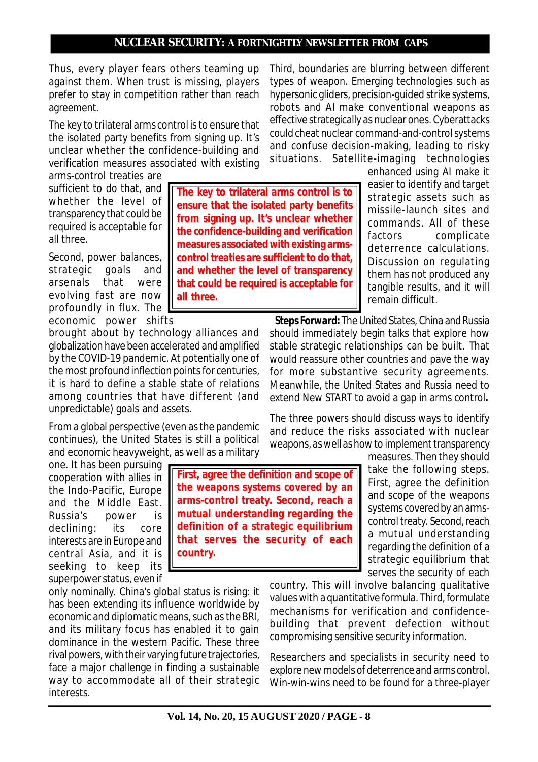Thus, every player fears others teaming up against them. When trust is missing, players prefer to stay in competition rather than reach agreement.

The key to trilateral arms control is to ensure that the isolated party benefits from signing up. It's unclear whether the confidence-building and verification measures associated with existing

arms-control treaties are sufficient to do that, and whether the level of transparency that could be required is acceptable for all three.

Second, power balances, strategic goals and arsenals that were evolving fast are now profoundly in flux. The economic power shifts

brought about by technology alliances and globalization have been accelerated and amplified by the COVID-19 pandemic. At potentially one of the most profound inflection points for centuries, it is hard to define a stable state of relations among countries that have different (and unpredictable) goals and assets.

From a global perspective (even as the pandemic continues), the United States is still a political and economic heavyweight, as well as a military

one. It has been pursuing cooperation with allies in the Indo-Pacific, Europe and the Middle East. Russia's power is declining: its core interests are in Europe and central Asia, and it is seeking to keep its superpower status, even if

only nominally. China's global status is rising: it has been extending its influence worldwide by economic and diplomatic means, such as the BRI, and its military focus has enabled it to gain dominance in the western Pacific. These three rival powers, with their varying future trajectories, face a major challenge in finding a sustainable way to accommodate all of their strategic interests.

**country.**

Third, boundaries are blurring between different types of weapon. Emerging technologies such as hypersonic gliders, precision-guided strike systems, robots and AI make conventional weapons as effective strategically as nuclear ones. Cyberattacks could cheat nuclear command-and-control systems and confuse decision-making, leading to risky situations. Satellite-imaging technologies

**The key to trilateral arms control is to ensure that the isolated party benefits from signing up. It's unclear whether the confidence-building and verification measures associated with existing armscontrol treaties are sufficient to do that, and whether the level of transparency that could be required is acceptable for all three.**

enhanced using AI make it easier to identify and target strategic assets such as missile-launch sites and commands. All of these factors complicate deterrence calculations. Discussion on regulating them has not produced any tangible results, and it will remain difficult.

*Steps Forward:* The United States, China and Russia should immediately begin talks that explore how stable strategic relationships can be built. That would reassure other countries and pave the way for more substantive security agreements. Meanwhile, the United States and Russia need to extend New START to avoid a gap in arms control**.**

The three powers should discuss ways to identify and reduce the risks associated with nuclear weapons, as well as how to implement transparency

> measures. Then they should take the following steps. First, agree the definition and scope of the weapons systems covered by an armscontrol treaty. Second, reach a mutual understanding regarding the definition of a strategic equilibrium that serves the security of each

country. This will involve balancing qualitative values with a quantitative formula. Third, formulate mechanisms for verification and confidencebuilding that prevent defection without compromising sensitive security information.

Researchers and specialists in security need to explore new models of deterrence and arms control. Win-win-wins need to be found for a three-player

**First, agree the definition and scope of the weapons systems covered by an arms-control treaty. Second, reach a mutual understanding regarding the definition of a strategic equilibrium that serves the security of each**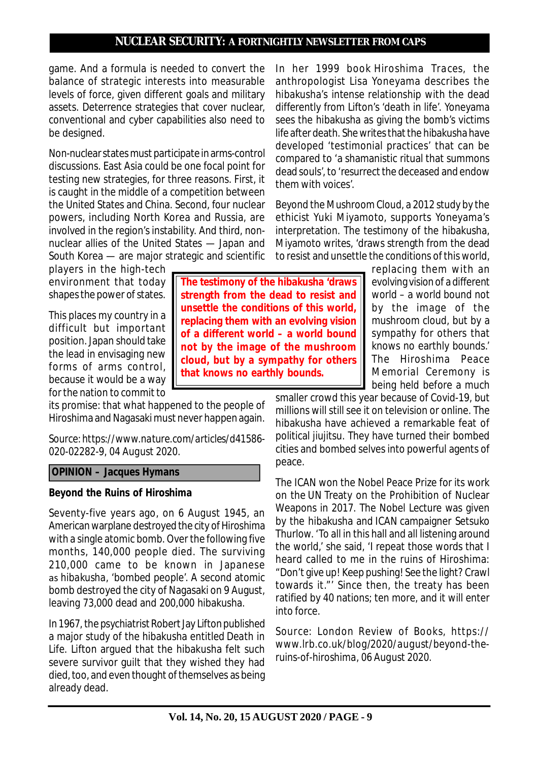game. And a formula is needed to convert the balance of strategic interests into measurable levels of force, given different goals and military assets. Deterrence strategies that cover nuclear, conventional and cyber capabilities also need to be designed.

Non-nuclear states must participate in arms-control discussions. East Asia could be one focal point for testing new strategies, for three reasons. First, it is caught in the middle of a competition between the United States and China. Second, four nuclear powers, including North Korea and Russia, are involved in the region's instability. And third, nonnuclear allies of the United States — Japan and South Korea — are major strategic and scientific

players in the high-tech environment that today shapes the power of states.

This places my country in a difficult but important position. Japan should take the lead in envisaging new forms of arms control, because it would be a way for the nation to commit to

its promise: that what happened to the people of Hiroshima and Nagasaki must never happen again.

*Source: https://www.nature.com/articles/d41586- 020-02282-9, 04 August 2020.*

#### **OPINION – Jacques Hymans**

#### **Beyond the Ruins of Hiroshima**

Seventy-five years ago, on 6 August 1945, an American warplane destroyed the city of Hiroshima with a single atomic bomb. Over the following five months, 140,000 people died. The surviving 210,000 came to be known in Japanese as *hibakusha*, 'bombed people'. A second atomic bomb destroyed the city of Nagasaki on 9 August, leaving 73,000 dead and 200,000 hibakusha.

In 1967, the psychiatrist Robert Jay Lifton published a major study of the hibakusha entitled *Death in Life*. Lifton argued that the hibakusha felt such severe survivor guilt that they wished they had died, too, and even thought of themselves as being already dead.

**The testimony of the hibakusha 'draws strength from the dead to resist and unsettle the conditions of this world, replacing them with an evolving vision of a different world – a world bound not by the image of the mushroom cloud, but by a sympathy for others that knows no earthly bounds.**

In her 1999 book *Hiroshima Traces*, the anthropologist Lisa Yoneyama describes the hibakusha's intense relationship with the dead differently from Lifton's 'death in life'. Yoneyama sees the hibakusha as giving the bomb's victims life after death. She writes that the hibakusha have developed 'testimonial practices' that can be compared to 'a shamanistic ritual that summons dead souls', to 'resurrect the deceased and endow them with voices'.

*Beyond the Mushroom Cloud*, a 2012 study by the ethicist Yuki Miyamoto, supports Yoneyama's interpretation. The testimony of the hibakusha, Miyamoto writes, 'draws strength from the dead to resist and unsettle the conditions of this world,

> replacing them with an evolving vision of a different world – a world bound not by the image of the mushroom cloud, but by a sympathy for others that knows no earthly bounds.' The Hiroshima Peace Memorial Ceremony is being held before a much

smaller crowd this year because of Covid-19, but millions will still see it on television or online. The hibakusha have achieved a remarkable feat of political jiujitsu. They have turned their bombed cities and bombed selves into powerful agents of peace.

The ICAN won the Nobel Peace Prize for its work on the UN Treaty on the Prohibition of Nuclear Weapons in 2017. The Nobel Lecture was given by the hibakusha and ICAN campaigner Setsuko Thurlow. 'To all in this hall and all listening around the world,' she said, 'I repeat those words that I heard called to me in the ruins of Hiroshima: "Don't give up! Keep pushing! See the light? Crawl towards it."' Since then, the treaty has been ratified by 40 nations; ten more, and it will enter into force.

*Source: London Review of Books, https:// www.lrb.co.uk/blog/2020/august/beyond-theruins-of-hiroshima, 06 August 2020.*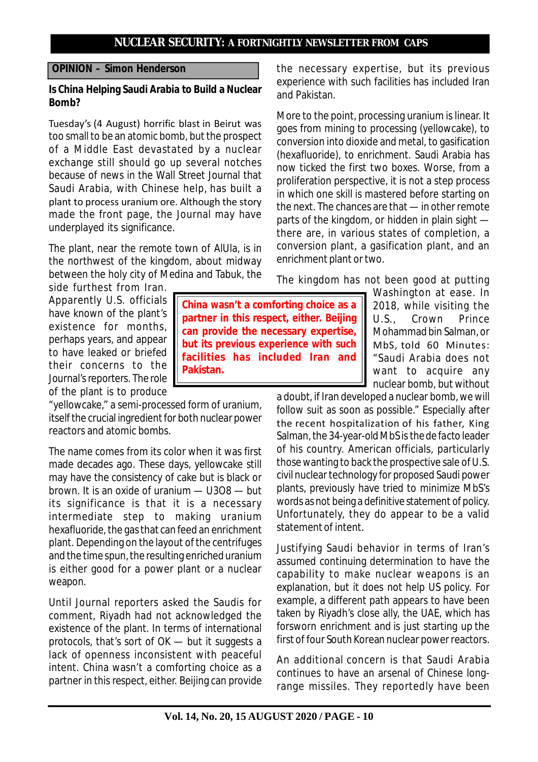#### **OPINION – Simon Henderson**

#### **Is China Helping Saudi Arabia to Build a Nuclear Bomb?**

Tuesday's (4 August) horrific blast in Beirut was too small to be an atomic bomb, but the prospect of a Middle East devastated by a nuclear exchange still should go up several notches because of news in the Wall Street Journal that Saudi Arabia, with Chinese help, has built a plant to process uranium ore. Although the story made the front page, the Journal may have underplayed its significance.

The plant, near the remote town of AlUla, is in the northwest of the kingdom, about midway between the holy city of Medina and Tabuk, the

side furthest from Iran. Apparently U.S. officials have known of the plant's existence for months, perhaps years, and appear to have leaked or briefed their concerns to the Journal's reporters. The role of the plant is to produce

"yellowcake," a semi-processed form of uranium, itself the crucial ingredient for both nuclear power reactors and atomic bombs.

The name comes from its color when it was first made decades ago. These days, yellowcake still may have the consistency of cake but is black or brown. It is an oxide of uranium — U3O8 — but its significance is that it is a necessary intermediate step to making uranium hexafluoride, the gas that can feed an enrichment plant. Depending on the layout of the centrifuges and the time spun, the resulting enriched uranium is either good for a power plant or a nuclear weapon.

Until Journal reporters asked the Saudis for comment, Riyadh had not acknowledged the existence of the plant. In terms of international protocols, that's sort of OK — but it suggests a lack of openness inconsistent with peaceful intent. China wasn't a comforting choice as a partner in this respect, either. Beijing can provide the necessary expertise, but its previous experience with such facilities has included Iran and Pakistan.

More to the point, processing uranium is linear. It goes from mining to processing (yellowcake), to conversion into dioxide and metal, to gasification (hexafluoride), to enrichment. Saudi Arabia has now ticked the first two boxes. Worse, from a proliferation perspective, it is not a step process in which one skill is mastered before starting on the next. The chances are that — in other remote parts of the kingdom, or hidden in plain sight there are, in various states of completion, a conversion plant, a gasification plant, and an enrichment plant or two.

The kingdom has not been good at putting

Washington at ease. In 2018, while visiting the U.S., Crown Prince Mohammad bin Salman, or MbS, told 60 Minutes: "Saudi Arabia does not want to acquire any nuclear bomb, but without

a doubt, if Iran developed a nuclear bomb, we will follow suit as soon as possible." Especially after the recent hospitalization of his father, King Salman, the 34-year-old MbS is the *de facto* leader of his country. American officials, particularly those wanting to back the prospective sale of U.S. civil nuclear technology for proposed Saudi power plants, previously have tried to minimize MbS's words as not being a definitive statement of policy. Unfortunately, they do appear to be a valid statement of intent.

Justifying Saudi behavior in terms of Iran's assumed continuing determination to have the capability to make nuclear weapons is an explanation, but it does not help US policy. For example, a different path appears to have been taken by Riyadh's close ally, the UAE, which has forsworn enrichment and is just starting up the first of four South Korean nuclear power reactors.

An additional concern is that Saudi Arabia continues to have an arsenal of Chinese longrange missiles. They reportedly have been

**China wasn't a comforting choice as a partner in this respect, either. Beijing can provide the necessary expertise, but its previous experience with such facilities has included Iran and Pakistan.**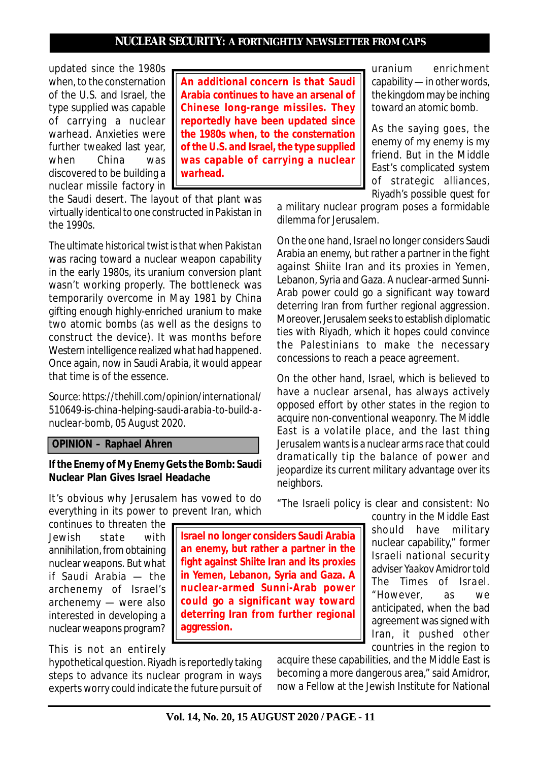updated since the 1980s when, to the consternation of the U.S. and Israel, the type supplied was capable of carrying a nuclear warhead. Anxieties were further tweaked last year, when China was discovered to be building a nuclear missile factory in

**An additional concern is that Saudi Arabia continues to have an arsenal of Chinese long-range missiles. They reportedly have been updated since the 1980s when, to the consternation of the U.S. and Israel, the type supplied was capable of carrying a nuclear warhead.**

the Saudi desert. The layout of that plant was virtually identical to one constructed in Pakistan in the 1990s.

The ultimate historical twist is that when Pakistan was racing toward a nuclear weapon capability in the early 1980s, its uranium conversion plant wasn't working properly. The bottleneck was temporarily overcome in May 1981 by China gifting enough highly-enriched uranium to make two atomic bombs (as well as the designs to construct the device). It was months before Western intelligence realized what had happened. Once again, now in Saudi Arabia, it would appear that time is of the essence.

*Source: https://thehill.com/opinion/international/ 510649-is-china-helping-saudi-arabia-to-build-anuclear-bomb, 05 August 2020.*

# **OPINION – Raphael Ahren**

#### **If the Enemy of My Enemy Gets the Bomb: Saudi Nuclear Plan Gives Israel Headache**

It's obvious why Jerusalem has vowed to do everything in its power to prevent Iran, which

continues to threaten the Jewish state with annihilation, from obtaining nuclear weapons. But what if Saudi Arabia — the archenemy of Israel's archenemy — were also interested in developing a nuclear weapons program?

This is not an entirely

hypothetical question. Riyadh is reportedly taking steps to advance its nuclear program in ways experts worry could indicate the future pursuit of

**aggression.**

uranium enrichment capability — in other words, the kingdom may be inching toward an atomic bomb.

As the saying goes, the enemy of my enemy is my friend. But in the Middle East's complicated system of strategic alliances, Riyadh's possible quest for

a military nuclear program poses a formidable dilemma for Jerusalem.

On the one hand, Israel no longer considers Saudi Arabia an enemy, but rather a partner in the fight against Shiite Iran and its proxies in Yemen, Lebanon, Syria and Gaza. A nuclear-armed Sunni-Arab power could go a significant way toward deterring Iran from further regional aggression. Moreover, Jerusalem seeks to establish diplomatic ties with Riyadh, which it hopes could convince the Palestinians to make the necessary concessions to reach a peace agreement.

On the other hand, Israel, which is believed to have a nuclear arsenal, has always actively opposed effort by other states in the region to acquire non-conventional weaponry. The Middle East is a volatile place, and the last thing Jerusalem wants is a nuclear arms race that could dramatically tip the balance of power and jeopardize its current military advantage over its neighbors.

"The Israeli policy is clear and consistent: No

country in the Middle East should have military nuclear capability," former Israeli national security adviser Yaakov Amidror told *The Times of Israel*. "However, as we anticipated, when the bad agreement was signed with Iran, it pushed other countries in the region to

acquire these capabilities, and the Middle East is becoming a more dangerous area," said Amidror, now a Fellow at the Jewish Institute for National

**Israel no longer considers Saudi Arabia an enemy, but rather a partner in the fight against Shiite Iran and its proxies in Yemen, Lebanon, Syria and Gaza. A nuclear-armed Sunni-Arab power could go a significant way toward deterring Iran from further regional**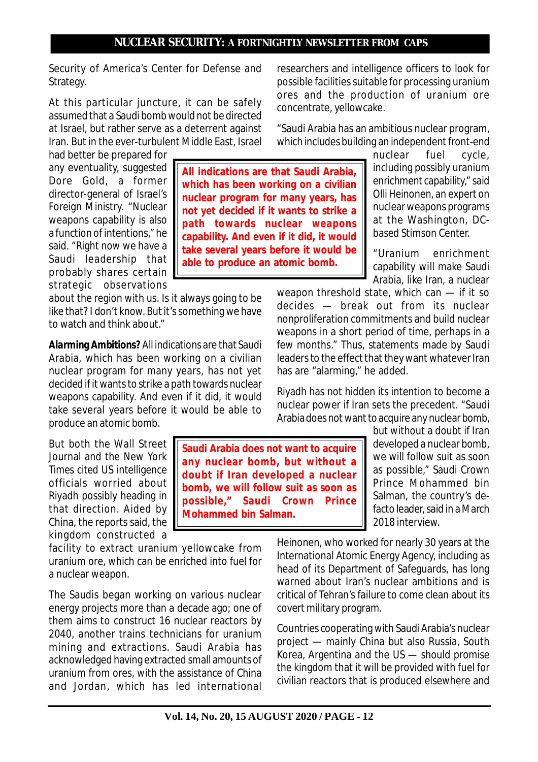Security of America's Center for Defense and Strategy.

At this particular juncture, it can be safely assumed that a Saudi bomb would not be directed at Israel, but rather serve as a deterrent against Iran. But in the ever-turbulent Middle East, Israel

had better be prepared for any eventuality, suggested Dore Gold, a former director-general of Israel's Foreign Ministry. "Nuclear weapons capability is also a function of intentions," he said. "Right now we have a Saudi leadership that probably shares certain strategic observations

about the region with us. Is it always going to be like that? I don't know. But it's something we have to watch and think about."

*Alarming Ambitions?* All indications are that Saudi Arabia, which has been working on a civilian nuclear program for many years, has not yet decided if it wants to strike a path towards nuclear weapons capability. And even if it did, it would take several years before it would be able to produce an atomic bomb.

But both the Wall Street Journal and the *New York Times* cited US intelligence officials worried about Riyadh possibly heading in that direction. Aided by China, the reports said, the kingdom constructed a

facility to extract uranium yellowcake from uranium ore, which can be enriched into fuel for a nuclear weapon.

The Saudis began working on various nuclear energy projects more than a decade ago; one of them aims to construct 16 nuclear reactors by 2040, another trains technicians for uranium mining and extractions. Saudi Arabia has acknowledged having extracted small amounts of uranium from ores, with the assistance of China and Jordan, which has led international

**All indications are that Saudi Arabia, which has been working on a civilian nuclear program for many years, has not yet decided if it wants to strike a path towards nuclear weapons capability. And even if it did, it would take several years before it would be able to produce an atomic bomb.**

**Saudi Arabia does not want to acquire any nuclear bomb, but without a doubt if Iran developed a nuclear bomb, we will follow suit as soon as possible," Saudi Crown Prince**

**Mohammed bin Salman.**

researchers and intelligence officers to look for possible facilities suitable for processing uranium ores and the production of uranium ore concentrate, yellowcake.

"Saudi Arabia has an ambitious nuclear program, which includes building an independent front-end

> nuclear fuel cycle, including possibly uranium enrichment capability," said Olli Heinonen, an expert on nuclear weapons programs at the Washington, DCbased Stimson Center.

> "Uranium enrichment capability will make Saudi Arabia, like Iran, a nuclear

weapon threshold state, which can — if it so decides — break out from its nuclear nonproliferation commitments and build nuclear weapons in a short period of time, perhaps in a few months." Thus, statements made by Saudi leaders to the effect that they want whatever Iran has are "alarming," he added.

Riyadh has not hidden its intention to become a nuclear power if Iran sets the precedent. "Saudi Arabia does not want to acquire any nuclear bomb,

> but without a doubt if Iran developed a nuclear bomb, we will follow suit as soon as possible," Saudi Crown Prince Mohammed bin Salman, the country's defacto leader, said in a March 2018 interview.

Heinonen, who worked for nearly 30 years at the International Atomic Energy Agency, including as head of its Department of Safeguards, has long warned about Iran's nuclear ambitions and is critical of Tehran's failure to come clean about its covert military program.

Countries cooperating with Saudi Arabia's nuclear project — mainly China but also Russia, South Korea, Argentina and the US — should promise the kingdom that it will be provided with fuel for civilian reactors that is produced elsewhere and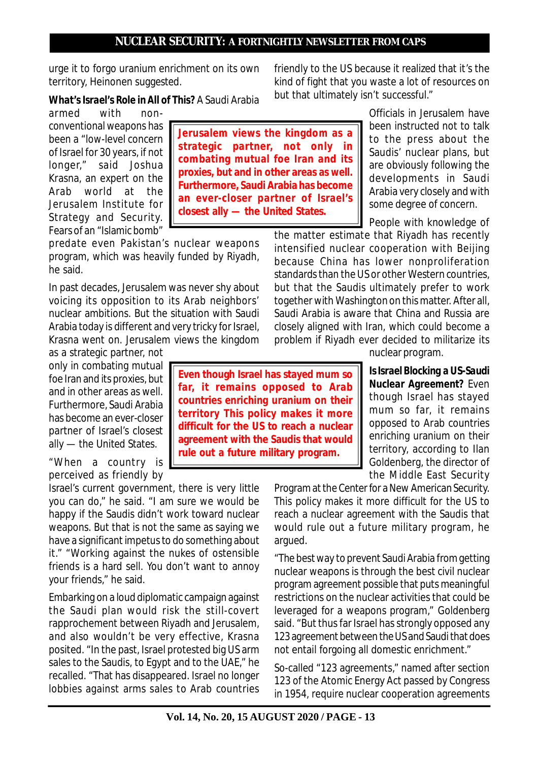**Jerusalem views the kingdom as a strategic partner, not only in combating mutual foe Iran and its proxies, but and in other areas as well. Furthermore, Saudi Arabia has become an ever-closer partner of Israel's**

**closest ally — the United States.**

urge it to forgo uranium enrichment on its own territory, Heinonen suggested.

*What's Israel's Role in All of This?* A Saudi Arabia

armed with nonconventional weapons has been a "low-level concern of Israel for 30 years, if not longer," said Joshua Krasna, an expert on the Arab world at the Jerusalem Institute for Strategy and Security. Fears of an "Islamic bomb"

predate even Pakistan's nuclear weapons program, which was heavily funded by Riyadh, he said.

In past decades, Jerusalem was never shy about voicing its opposition to its Arab neighbors' nuclear ambitions. But the situation with Saudi Arabia today is different and very tricky for Israel, Krasna went on. Jerusalem views the kingdom

as a strategic partner, not only in combating mutual foe Iran and its proxies, but and in other areas as well. Furthermore, Saudi Arabia has become an ever-closer partner of Israel's closest ally — the United States.

"When a country is perceived as friendly by

Israel's current government, there is very little you can do," he said. "I am sure we would be happy if the Saudis didn't work toward nuclear weapons. But that is not the same as saying we have a significant impetus to do something about it." "Working against the nukes of ostensible friends is a hard sell. You don't want to annoy your friends," he said.

Embarking on a loud diplomatic campaign against the Saudi plan would risk the still-covert rapprochement between Riyadh and Jerusalem, and also wouldn't be very effective, Krasna posited. "In the past, Israel protested big US arm sales to the Saudis, to Egypt and to the UAE," he recalled. "That has disappeared. Israel no longer lobbies against arms sales to Arab countries friendly to the US because it realized that it's the kind of fight that you waste a lot of resources on but that ultimately isn't successful."

> Officials in Jerusalem have been instructed not to talk to the press about the Saudis' nuclear plans, but are obviously following the developments in Saudi Arabia very closely and with some degree of concern.

People with knowledge of

the matter estimate that Riyadh has recently intensified nuclear cooperation with Beijing because China has lower nonproliferation standards than the US or other Western countries, but that the Saudis ultimately prefer to work together with Washington on this matter. After all, Saudi Arabia is aware that China and Russia are closely aligned with Iran, which could become a problem if Riyadh ever decided to militarize its

nuclear program.

*Is Israel Blocking a US-Saudi Nuclear Agreement?* Even though Israel has stayed mum so far, it remains opposed to Arab countries enriching uranium on their territory, according to Ilan Goldenberg, the director of the Middle East Security

Program at the Center for a New American Security. This policy makes it more difficult for the US to reach a nuclear agreement with the Saudis that would rule out a future military program, he argued.

"The best way to prevent Saudi Arabia from getting nuclear weapons is through the best civil nuclear program agreement possible that puts meaningful restrictions on the nuclear activities that could be leveraged for a weapons program," Goldenberg said. "But thus far Israel has strongly opposed any 123 agreement between the US and Saudi that does not entail forgoing all domestic enrichment."

So-called "123 agreements," named after section 123 of the Atomic Energy Act passed by Congress in 1954, require nuclear cooperation agreements

# **Even though Israel has stayed mum so far, it remains opposed to Arab countries enriching uranium on their territory This policy makes it more difficult for the US to reach a nuclear agreement with the Saudis that would rule out a future military program.**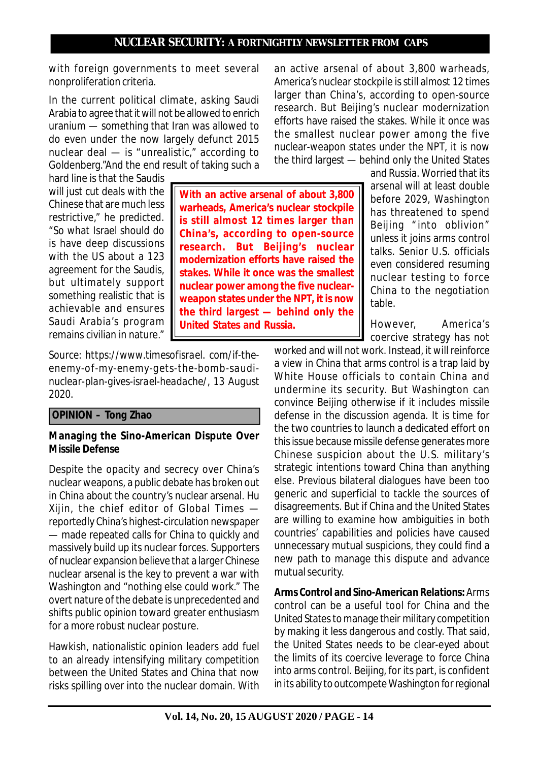with foreign governments to meet several nonproliferation criteria.

In the current political climate, asking Saudi Arabia to agree that it will not be allowed to enrich uranium — something that Iran was allowed to do even under the now largely defunct 2015 nuclear deal — is "unrealistic," according to Goldenberg."And the end result of taking such a

hard line is that the Saudis will just cut deals with the Chinese that are much less restrictive," he predicted. "So what Israel should do is have deep discussions with the US about a 123 agreement for the Saudis, but ultimately support something realistic that is achievable and ensures Saudi Arabia's program remains civilian in nature."

*Source: https://www.timesofisrael. com/if-theenemy-of-my-enemy-gets-the-bomb-saudinuclear-plan-gives-israel-headache/, 13 August 2020.*

# **OPINION – Tong Zhao**

# **Managing the Sino-American Dispute Over Missile Defense**

Despite the opacity and secrecy over China's nuclear weapons, a public debate has broken out in China about the country's nuclear arsenal. Hu Xijin, the chief editor of Global Times reportedly China's highest-circulation newspaper — made repeated calls for China to quickly and massively build up its nuclear forces. Supporters of nuclear expansion believe that a larger Chinese nuclear arsenal is the key to prevent a war with Washington and "nothing else could work." The overt nature of the debate is unprecedented and shifts public opinion toward greater enthusiasm for a more robust nuclear posture.

Hawkish, nationalistic opinion leaders add fuel to an already intensifying military competition between the United States and China that now risks spilling over into the nuclear domain. With

an active arsenal of about 3,800 warheads, America's nuclear stockpile is still almost 12 times larger than China's, according to open-source research. But Beijing's nuclear modernization efforts have raised the stakes. While it once was the smallest nuclear power among the five nuclear-weapon states under the NPT, it is now the third largest — behind only the United States

**With an active arsenal of about 3,800 warheads, America's nuclear stockpile is still almost 12 times larger than China's, according to open-source research. But Beijing's nuclear modernization efforts have raised the stakes. While it once was the smallest nuclear power among the five nuclearweapon states under the NPT, it is now the third largest — behind only the United States and Russia.**

and Russia. Worried that its arsenal will at least double before 2029, Washington has threatened to spend Beiling " into oblivion" unless it joins arms control talks. Senior U.S. officials even considered resuming nuclear testing to force China to the negotiation table.

However, America's coercive strategy has not

worked and will not work. Instead, it will reinforce a view in China that arms control is a trap laid by White House officials to contain China and undermine its security. But Washington can convince Beijing otherwise if it includes missile defense in the discussion agenda. It is time for the two countries to launch a dedicated effort on this issue because missile defense generates more Chinese suspicion about the U.S. military's strategic intentions toward China than anything else. Previous bilateral dialogues have been too generic and superficial to tackle the sources of disagreements. But if China and the United States are willing to examine how ambiguities in both countries' capabilities and policies have caused unnecessary mutual suspicions, they could find a new path to manage this dispute and advance mutual security.

*Arms Control and Sino-American Relations:*Arms control can be a useful tool for China and the United States to manage their military competition by making it less dangerous and costly. That said, the United States needs to be clear-eyed about the limits of its coercive leverage to force China into arms control. Beijing, for its part, is confident in its ability to outcompete Washington for regional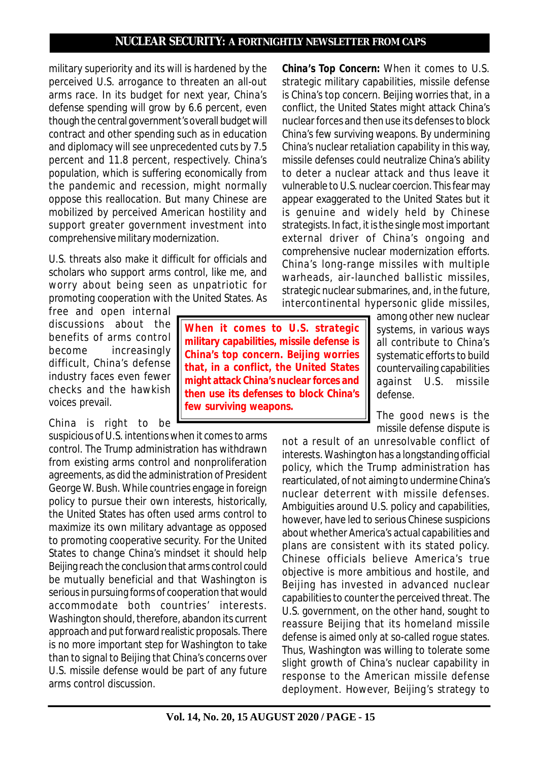**When it comes to U.S. strategic military capabilities, missile defense is China's top concern. Beijing worries that, in a conflict, the United States might attack China's nuclear forces and then use its defenses to block China's**

**few surviving weapons.**

military superiority and its will is hardened by the perceived U.S. arrogance to threaten an all-out arms race. In its budget for next year, China's defense spending will grow by 6.6 percent, even though the central government's overall budget will contract and other spending such as in education and diplomacy will see unprecedented cuts by 7.5 percent and 11.8 percent, respectively. China's population, which is suffering economically from the pandemic and recession, might normally oppose this reallocation. But many Chinese are mobilized by perceived American hostility and support greater government investment into comprehensive military modernization.

U.S. threats also make it difficult for officials and scholars who support arms control, like me, and worry about being seen as unpatriotic for promoting cooperation with the United States. As

free and open internal discussions about the benefits of arms control become increasingly difficult, China's defense industry faces even fewer checks and the hawkish voices prevail.

China is right to be

suspicious of U.S. intentions when it comes to arms control. The Trump administration has withdrawn from existing arms control and nonproliferation agreements, as did the administration of President George W. Bush. While countries engage in foreign policy to pursue their own interests, historically, the United States has often used arms control to maximize its own military advantage as opposed to promoting cooperative security. For the United States to change China's mindset it should help Beijing reach the conclusion that arms control could be mutually beneficial and that Washington is serious in pursuing forms of cooperation that would accommodate both countries' interests. Washington should, therefore, abandon its current approach and put forward realistic proposals. There is no more important step for Washington to take than to signal to Beijing that China's concerns over U.S. missile defense would be part of any future arms control discussion.

*China's Top Concern:* When it comes to U.S. strategic military capabilities, missile defense is China's top concern. Beijing worries that, in a conflict, the United States might attack China's nuclear forces and then use its defenses to block China's few surviving weapons. By undermining China's nuclear retaliation capability in this way, missile defenses could neutralize China's ability to deter a nuclear attack and thus leave it vulnerable to U.S. nuclear coercion. This fear may appear exaggerated to the United States but it is genuine and widely held by Chinese strategists. In fact, it is the single most important external driver of China's ongoing and comprehensive nuclear modernization efforts. China's long-range missiles with multiple warheads, air-launched ballistic missiles, strategic nuclear submarines, and, in the future, intercontinental hypersonic glide missiles,

> among other new nuclear systems, in various ways all contribute to China's systematic efforts to build countervailing capabilities against U.S. missile defense.

The good news is the missile defense dispute is

not a result of an unresolvable conflict of interests. Washington has a longstanding official policy, which the Trump administration has rearticulated, of not aiming to undermine China's nuclear deterrent with missile defenses. Ambiguities around U.S. policy and capabilities, however, have led to serious Chinese suspicions about whether America's actual capabilities and plans are consistent with its stated policy. Chinese officials believe America's true objective is more ambitious and hostile, and Beijing has invested in advanced nuclear capabilities to counter the perceived threat. The U.S. government, on the other hand, sought to reassure Beijing that its homeland missile defense is aimed only at so-called rogue states. Thus, Washington was willing to tolerate some slight growth of China's nuclear capability in response to the American missile defense deployment. However, Beijing's strategy to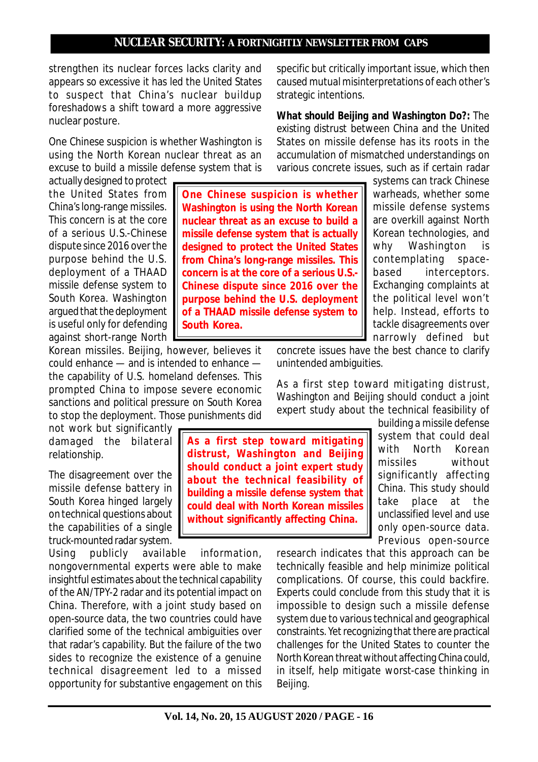**One Chinese suspicion is whether Washington is using the North Korean nuclear threat as an excuse to build a missile defense system that is actually designed to protect the United States from China's long-range missiles. This concern is at the core of a serious U.S.- Chinese dispute since 2016 over the purpose behind the U.S. deployment of a THAAD missile defense system to**

strengthen its nuclear forces lacks clarity and appears so excessive it has led the United States to suspect that China's nuclear buildup foreshadows a shift toward a more aggressive nuclear posture.

One Chinese suspicion is whether Washington is using the North Korean nuclear threat as an excuse to build a missile defense system that is

actually designed to protect the United States from China's long-range missiles. This concern is at the core of a serious U.S.-Chinese dispute since 2016 over the purpose behind the U.S. deployment of a THAAD missile defense system to South Korea. Washington argued that the deployment is useful only for defending against short-range North

Korean missiles. Beijing, however, believes it could enhance — and is intended to enhance the capability of U.S. homeland defenses. This prompted China to impose severe economic sanctions and political pressure on South Korea to stop the deployment. Those punishments did

**South Korea.**

not work but significantly damaged the bilateral relationship.

The disagreement over the missile defense battery in South Korea hinged largely on technical questions about the capabilities of a single truck-mounted radar system.

Using publicly available information, nongovernmental experts were able to make insightful estimates about the technical capability of the AN/TPY-2 radar and its potential impact on China. Therefore, with a joint study based on open-source data, the two countries could have clarified some of the technical ambiguities over that radar's capability. But the failure of the two sides to recognize the existence of a genuine technical disagreement led to a missed opportunity for substantive engagement on this

specific but critically important issue, which then caused mutual misinterpretations of each other's strategic intentions.

*What should Beijing and Washington Do?:* The existing distrust between China and the United States on missile defense has its roots in the accumulation of mismatched understandings on various concrete issues, such as if certain radar

> systems can track Chinese warheads, whether some missile defense systems are overkill against North Korean technologies, and why Washington is contemplating spacebased interceptors. Exchanging complaints at the political level won't help. Instead, efforts to tackle disagreements over narrowly defined but

concrete issues have the best chance to clarify unintended ambiguities.

As a first step toward mitigating distrust, Washington and Beijing should conduct a joint expert study about the technical feasibility of

**As a first step toward mitigating distrust, Washington and Beijing should conduct a joint expert study about the technical feasibility of building a missile defense system that could deal with North Korean missiles without significantly affecting China.**

building a missile defense system that could deal with North Korean missiles without significantly affecting China. This study should take place at the unclassified level and use only open-source data. Previous open-source

research indicates that this approach can be technically feasible and help minimize political complications. Of course, this could backfire. Experts could conclude from this study that it is impossible to design such a missile defense system due to various technical and geographical constraints. Yet recognizing that there are practical challenges for the United States to counter the North Korean threat without affecting China could, in itself, help mitigate worst-case thinking in Beijing.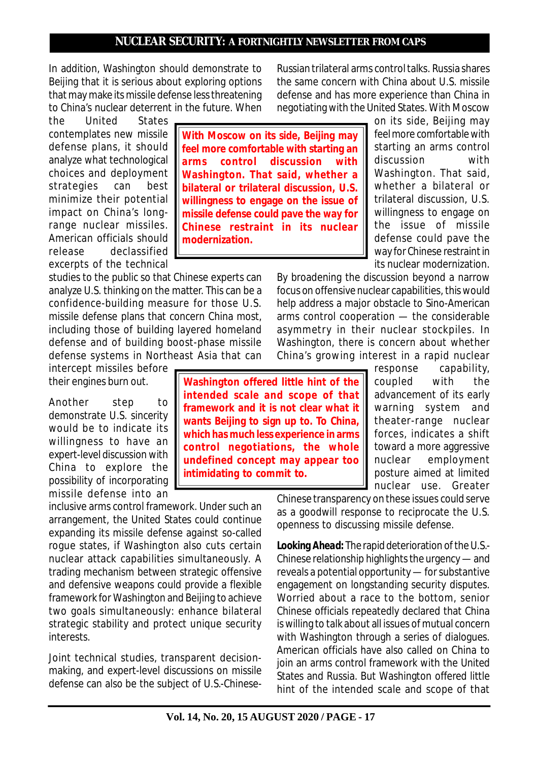In addition, Washington should demonstrate to Beijing that it is serious about exploring options that may make its missile defense less threatening to China's nuclear deterrent in the future. When

the United States contemplates new missile defense plans, it should analyze what technological choices and deployment strategies can best minimize their potential impact on China's longrange nuclear missiles. American officials should release declassified excerpts of the technical

studies to the public so that Chinese experts can analyze U.S. thinking on the matter. This can be a confidence-building measure for those U.S. missile defense plans that concern China most, including those of building layered homeland defense and of building boost-phase missile defense systems in Northeast Asia that can

intercept missiles before their engines burn out.

Another step to demonstrate U.S. sincerity would be to indicate its willingness to have an expert-level discussion with China to explore the possibility of incorporating missile defense into an

inclusive arms control framework. Under such an arrangement, the United States could continue expanding its missile defense against so-called rogue states, if Washington also cuts certain nuclear attack capabilities simultaneously. A trading mechanism between strategic offensive and defensive weapons could provide a flexible framework for Washington and Beijing to achieve two goals simultaneously: enhance bilateral strategic stability and protect unique security interests.

Joint technical studies, transparent decisionmaking, and expert-level discussions on missile defense can also be the subject of U.S.-ChineseRussian trilateral arms control talks. Russia shares the same concern with China about U.S. missile defense and has more experience than China in negotiating with the United States. With Moscow

**With Moscow on its side, Beijing may feel more comfortable with starting an arms control discussion with Washington. That said, whether a bilateral or trilateral discussion, U.S. willingness to engage on the issue of missile defense could pave the way for Chinese restraint in its nuclear modernization.**

on its side, Beijing may feel more comfortable with starting an arms control discussion with Washington. That said, whether a bilateral or trilateral discussion, U.S. willingness to engage on the issue of missile defense could pave the way for Chinese restraint in its nuclear modernization.

By broadening the discussion beyond a narrow focus on offensive nuclear capabilities, this would help address a major obstacle to Sino-American arms control cooperation — the considerable asymmetry in their nuclear stockpiles. In Washington, there is concern about whether China's growing interest in a rapid nuclear

> response capability, coupled with the advancement of its early warning system and theater-range nuclear forces, indicates a shift toward a more aggressive nuclear employment posture aimed at limited nuclear use. Greater

Chinese transparency on these issues could serve as a goodwill response to reciprocate the U.S. openness to discussing missile defense.

*Looking Ahead:* The rapid deterioration of the U.S.- Chinese relationship highlights the urgency — and reveals a potential opportunity — for substantive engagement on longstanding security disputes. Worried about a race to the bottom, senior Chinese officials repeatedly declared that China is willing to talk about all issues of mutual concern with Washington through a series of dialogues. American officials have also called on China to join an arms control framework with the United States and Russia. But Washington offered little hint of the intended scale and scope of that

**Washington offered little hint of the intended scale and scope of that framework and it is not clear what it wants Beijing to sign up to. To China, which has much less experience in arms control negotiations, the whole undefined concept may appear too intimidating to commit to.**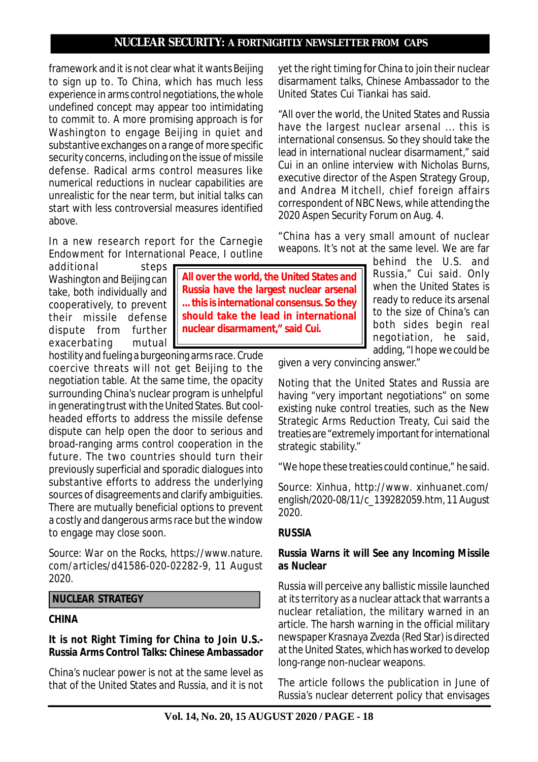**All over the world, the United States and Russia have the largest nuclear arsenal ... this is international consensus. So they should take the lead in international**

**nuclear disarmament," said Cui.**

framework and it is not clear what it wants Beijing to sign up to. To China, which has much less experience in arms control negotiations, the whole undefined concept may appear too intimidating to commit to. A more promising approach is for Washington to engage Beijing in quiet and substantive exchanges on a range of more specific security concerns, including on the issue of missile defense. Radical arms control measures like numerical reductions in nuclear capabilities are unrealistic for the near term, but initial talks can start with less controversial measures identified above.

In a new research report for the Carnegie Endowment for International Peace, I outline

additional steps Washington and Beijing can take, both individually and cooperatively, to prevent their missile defense dispute from further exacerbating mutual

hostility and fueling a burgeoning arms race. Crude coercive threats will not get Beijing to the negotiation table. At the same time, the opacity surrounding China's nuclear program is unhelpful in generating trust with the United States. But coolheaded efforts to address the missile defense dispute can help open the door to serious and broad-ranging arms control cooperation in the future. The two countries should turn their previously superficial and sporadic dialogues into substantive efforts to address the underlying sources of disagreements and clarify ambiguities. There are mutually beneficial options to prevent a costly and dangerous arms race but the window to engage may close soon.

*Source: War on the Rocks, https://www.nature. com/articles/d41586-020-02282-9, 11 August 2020.*

#### **NUCLEAR STRATEGY**

#### **CHINA**

#### **It is not Right Timing for China to Join U.S.- Russia Arms Control Talks: Chinese Ambassador**

China's nuclear power is not at the same level as that of the United States and Russia, and it is not yet the right timing for China to join their nuclear disarmament talks, Chinese Ambassador to the United States Cui Tiankai has said.

"All over the world, the United States and Russia have the largest nuclear arsenal ... this is international consensus. So they should take the lead in international nuclear disarmament," said Cui in an online interview with Nicholas Burns, executive director of the Aspen Strategy Group, and Andrea Mitchell, chief foreign affairs correspondent of NBC News, while attending the 2020 Aspen Security Forum on Aug. 4.

"China has a very small amount of nuclear weapons. It's not at the same level. We are far

> behind the U.S. and Russia," Cui said. Only when the United States is ready to reduce its arsenal to the size of China's can both sides begin real negotiation, he said, adding, "I hope we could be

given a very convincing answer."

Noting that the United States and Russia are having "very important negotiations" on some existing nuke control treaties, such as the New Strategic Arms Reduction Treaty, Cui said the treaties are "extremely important for international strategic stability."

"We hope these treaties could continue," he said.

*Source: Xinhua, http://www. xinhuanet.com/ english/2020-08/11/c\_139282059.htm, 11 August 2020.*

#### **RUSSIA**

#### **Russia Warns it will See any Incoming Missile as Nuclear**

Russia will perceive any ballistic missile launched at its territory as a nuclear attack that warrants a nuclear retaliation, the military warned in an article. The harsh warning in the official military newspaper *Krasnaya Zvezda* (Red Star) is directed at the United States, which has worked to develop long-range non-nuclear weapons.

The article follows the publication in June of Russia's nuclear deterrent policy that envisages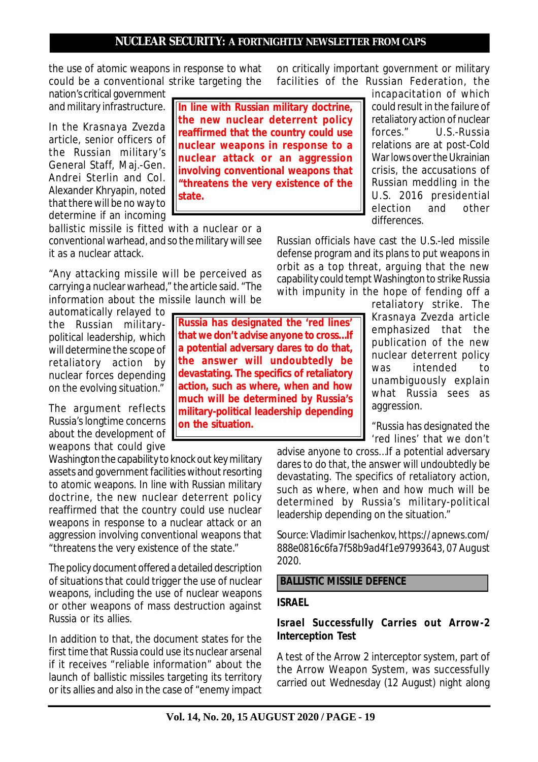**In line with Russian military doctrine, the new nuclear deterrent policy reaffirmed that the country could use nuclear weapons in response to a nuclear attack or an aggression involving conventional weapons that "threatens the very existence of the**

the use of atomic weapons in response to what could be a conventional strike targeting the

nation's critical government and military infrastructure.

In the *Krasnaya Zvezda* article, senior officers of the Russian military's General Staff, Maj.-Gen. Andrei Sterlin and Col. Alexander Khryapin, noted that there will be no way to determine if an incoming

ballistic missile is fitted with a nuclear or a conventional warhead, and so the military will see it as a nuclear attack.

**state.**

"Any attacking missile will be perceived as carrying a nuclear warhead," the article said. "The information about the missile launch will be

automatically relayed to the Russian militarypolitical leadership, which will determine the scope of retaliatory action by nuclear forces depending on the evolving situation."

The argument reflects Russia's longtime concerns about the development of weapons that could give

Washington the capability to knock out key military assets and government facilities without resorting to atomic weapons. In line with Russian military doctrine, the new nuclear deterrent policy reaffirmed that the country could use nuclear weapons in response to a nuclear attack or an aggression involving conventional weapons that "threatens the very existence of the state."

The policy document offered a detailed description of situations that could trigger the use of nuclear weapons, including the use of nuclear weapons or other weapons of mass destruction against Russia or its allies.

In addition to that, the document states for the first time that Russia could use its nuclear arsenal if it receives "reliable information" about the launch of ballistic missiles targeting its territory or its allies and also in the case of "enemy impact

**Russia has designated the 'red lines' that we don't advise anyone to cross…If a potential adversary dares to do that, the answer will undoubtedly be devastating. The specifics of retaliatory action, such as where, when and how much will be determined by Russia's military-political leadership depending on the situation.**

on critically important government or military facilities of the Russian Federation, the

> incapacitation of which could result in the failure of retaliatory action of nuclear forces." U.S.-Russia relations are at post-Cold War lows over the Ukrainian crisis, the accusations of Russian meddling in the U.S. 2016 presidential election and other differences.

Russian officials have cast the U.S.-led missile defense program and its plans to put weapons in orbit as a top threat, arguing that the new capability could tempt Washington to strike Russia with impunity in the hope of fending off a

> retaliatory strike. The *Krasnaya Zvezda* article emphasized that the publication of the new nuclear deterrent policy was intended to unambiguously explain what Russia sees as aggression.

"Russia has designated the 'red lines' that we don't

advise anyone to cross…If a potential adversary dares to do that, the answer will undoubtedly be devastating. The specifics of retaliatory action, such as where, when and how much will be determined by Russia's military-political leadership depending on the situation."

*Source: Vladimir Isachenkov, https://apnews.com/ 888e0816c6fa7f58b9ad4f1e97993643, 07 August 2020.*

### **BALLISTIC MISSILE DEFENCE**

#### **ISRAEL**

#### **Israel Successfully Carries out Arrow-2 Interception Test**

A test of the Arrow 2 interceptor system, part of the Arrow Weapon System, was successfully carried out Wednesday (12 August) night along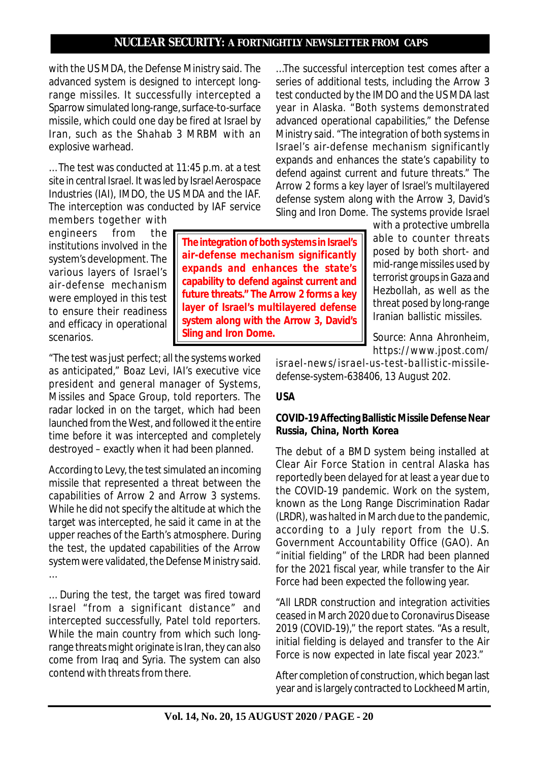**The integration of both systems in Israel's air-defense mechanism significantly expands and enhances the state's capability to defend against current and future threats." The Arrow 2 forms a key layer of Israel's multilayered defense system along with the Arrow 3, David's**

**Sling and Iron Dome.**

with the US MDA, the Defense Ministry said. The advanced system is designed to intercept longrange missiles. It successfully intercepted a Sparrow simulated long-range, surface-to-surface missile, which could one day be fired at Israel by Iran, such as the Shahab 3 MRBM with an explosive warhead.

… The test was conducted at 11:45 p.m. at a test site in central Israel. It was led by Israel Aerospace Industries (IAI), IMDO, the US MDA and the IAF. The interception was conducted by IAF service members together with

engineers from the institutions involved in the system's development. The various layers of Israel's air-defense mechanism were employed in this test to ensure their readiness and efficacy in operational scenarios.

"The test was just perfect; all the systems worked as anticipated," Boaz Levi, IAI's executive vice president and general manager of Systems, Missiles and Space Group, told reporters. The radar locked in on the target, which had been launched from the West, and followed it the entire time before it was intercepted and completely destroyed – exactly when it had been planned.

According to Levy, the test simulated an incoming missile that represented a threat between the capabilities of Arrow 2 and Arrow 3 systems. While he did not specify the altitude at which the target was intercepted, he said it came in at the upper reaches of the Earth's atmosphere. During the test, the updated capabilities of the Arrow system were validated, the Defense Ministry said. …

… During the test, the target was fired toward Israel "from a significant distance" and intercepted successfully, Patel told reporters. While the main country from which such longrange threats might originate is Iran, they can also come from Iraq and Syria. The system can also contend with threats from there.

…The successful interception test comes after a series of additional tests, including the Arrow 3 test conducted by the IMDO and the US MDA last year in Alaska. "Both systems demonstrated advanced operational capabilities," the Defense Ministry said. "The integration of both systems in Israel's air-defense mechanism significantly expands and enhances the state's capability to defend against current and future threats." The Arrow 2 forms a key layer of Israel's multilayered defense system along with the Arrow 3, David's Sling and Iron Dome. The systems provide Israel

> with a protective umbrella able to counter threats posed by both short- and mid-range missiles used by terrorist groups in Gaza and Hezbollah, as well as the threat posed by long-range Iranian ballistic missiles.

*Source: Anna Ahronheim, https://www.jpost.com/*

*israel-news/israel-us-test-ballistic-missiledefense-system-638406, 13 August 202.*

# **USA**

### **COVID-19 Affecting Ballistic Missile Defense Near Russia, China, North Korea**

The debut of a BMD system being installed at Clear Air Force Station in central Alaska has reportedly been delayed for at least a year due to the COVID-19 pandemic. Work on the system, known as the Long Range Discrimination Radar (LRDR), was halted in March due to the pandemic, according to a July report from the U.S. Government Accountability Office (GAO). An "initial fielding" of the LRDR had been planned for the 2021 fiscal year, while transfer to the Air Force had been expected the following year.

"All LRDR construction and integration activities ceased in March 2020 due to Coronavirus Disease 2019 (COVID-19)," the report states. "As a result, initial fielding is delayed and transfer to the Air Force is now expected in late fiscal year 2023."

After completion of construction, which began last year and is largely contracted to Lockheed Martin,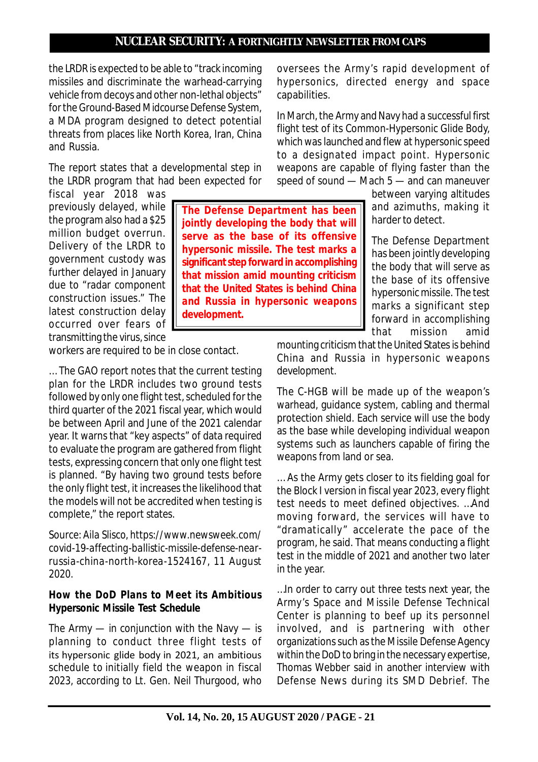the LRDR is expected to be able to "track incoming missiles and discriminate the warhead-carrying vehicle from decoys and other non-lethal objects" for the Ground-Based Midcourse Defense System, a MDA program designed to detect potential threats from places like North Korea, Iran, China and Russia.

The report states that a developmental step in the LRDR program that had been expected for

fiscal year 2018 was previously delayed, while the program also had a \$25 million budget overrun. Delivery of the LRDR to government custody was further delayed in January due to "radar component construction issues." The latest construction delay occurred over fears of transmitting the virus, since

**The Defense Department has been jointly developing the body that will serve as the base of its offensive hypersonic missile. The test marks a significant step forward in accomplishing that mission amid mounting criticism that the United States is behind China and Russia in hypersonic weapons development.**

oversees the Army's rapid development of hypersonics, directed energy and space capabilities.

In March, the Army and Navy had a successful first flight test of its Common-Hypersonic Glide Body, which was launched and flew at hypersonic speed to a designated impact point. Hypersonic weapons are capable of flying faster than the speed of sound — Mach 5 — and can maneuver

> between varying altitudes and azimuths, making it harder to detect.

> The Defense Department has been jointly developing the body that will serve as the base of its offensive hypersonic missile. The test marks a significant step forward in accomplishing that mission amid

workers are required to be in close contact.

… The GAO report notes that the current testing plan for the LRDR includes two ground tests followed by only one flight test, scheduled for the third quarter of the 2021 fiscal year, which would be between April and June of the 2021 calendar year. It warns that "key aspects" of data required to evaluate the program are gathered from flight tests, expressing concern that only one flight test is planned. "By having two ground tests before the only flight test, it increases the likelihood that the models will not be accredited when testing is complete," the report states.

*Source: Aila Slisco, https://www.newsweek.com/ covid-19-affecting-ballistic-missile-defense-nearrussia-china-north-korea-1524167, 11 August 2020.*

#### **How the DoD Plans to Meet its Ambitious Hypersonic Missile Test Schedule**

The Army  $-$  in conjunction with the Navy  $-$  is planning to conduct three flight tests of its hypersonic glide body in 2021, an ambitious schedule to initially field the weapon in fiscal 2023, according to Lt. Gen. Neil Thurgood, who mounting criticism that the United States is behind China and Russia in hypersonic weapons development.

The C-HGB will be made up of the weapon's warhead, guidance system, cabling and thermal protection shield. Each service will use the body as the base while developing individual weapon systems such as launchers capable of firing the weapons from land or sea.

… As the Army gets closer to its fielding goal for the Block I version in fiscal year 2023, every flight test needs to meet defined objectives. …And moving forward, the services will have to "dramatically" accelerate the pace of the program, he said. That means conducting a flight test in the middle of 2021 and another two later in the year.

…In order to carry out three tests next year, the Army's Space and Missile Defense Technical Center is planning to beef up its personnel involved, and is partnering with other organizations such as the Missile Defense Agency within the DoD to bring in the necessary expertise, Thomas Webber said in another interview with Defense News during its SMD Debrief. The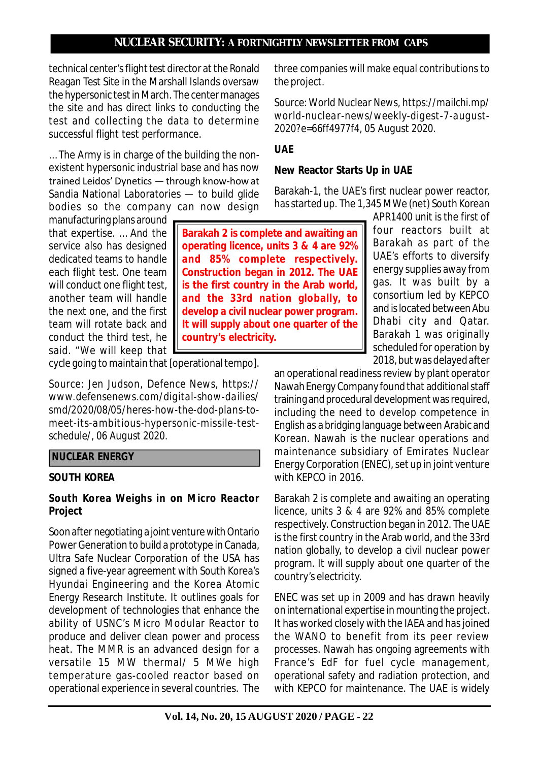technical center's flight test director at the Ronald Reagan Test Site in the Marshall Islands oversaw the hypersonic test in March. The center manages the site and has direct links to conducting the test and collecting the data to determine successful flight test performance.

… The Army is in charge of the building the nonexistent hypersonic industrial base and has now trained Leidos' Dynetics — through know-how at Sandia National Laboratories — to build glide bodies so the company can now design

manufacturing plans around that expertise. … And the service also has designed dedicated teams to handle each flight test. One team will conduct one flight test, another team will handle the next one, and the first team will rotate back and conduct the third test, he said. "We will keep that cycle going to maintain that [operational tempo].

*Source: Jen Judson, Defence News, https:// www.defensenews.com/digital-show-dailies/ smd/2020/08/05/heres-how-the-dod-plans-tomeet-its-ambitious-hypersonic-missile-testschedule/, 06 August 2020.*

# **NUCLEAR ENERGY**

#### **SOUTH KOREA**

#### **South Korea Weighs in on Micro Reactor Project**

Soon after negotiating a joint venture with Ontario Power Generation to build a prototype in Canada, Ultra Safe Nuclear Corporation of the USA has signed a five-year agreement with South Korea's Hyundai Engineering and the Korea Atomic Energy Research Institute. It outlines goals for development of technologies that enhance the ability of USNC's Micro Modular Reactor to produce and deliver clean power and process heat. The MMR is an advanced design for a versatile 15 MW thermal/ 5 MWe high temperature gas-cooled reactor based on operational experience in several countries. The

three companies will make equal contributions to the project.

*Source: World Nuclear News, https://mailchi.mp/ world-nuclear-news/weekly-digest-7-august-2020?e=66ff4977f4, 05 August 2020.*

# **UAE**

**Barakah 2 is complete and awaiting an operating licence, units 3 & 4 are 92% and 85% complete respectively. Construction began in 2012. The UAE is the first country in the Arab world, and the 33rd nation globally, to develop a civil nuclear power program. It will supply about one quarter of the**

**country's electricity.**

#### **New Reactor Starts Up in UAE**

Barakah-1, the UAE's first nuclear power reactor, has started up. The 1,345 MWe (net) South Korean

> APR1400 unit is the first of four reactors built at Barakah as part of the UAE's efforts to diversify energy supplies away from gas. It was built by a consortium led by KEPCO and is located between Abu Dhabi city and Qatar. Barakah 1 was originally scheduled for operation by 2018, but was delayed after

an operational readiness review by plant operator Nawah Energy Company found that additional staff training and procedural development was required, including the need to develop competence in English as a bridging language between Arabic and Korean. Nawah is the nuclear operations and maintenance subsidiary of Emirates Nuclear Energy Corporation (ENEC), set up in joint venture with KEPCO in 2016.

Barakah 2 is complete and awaiting an operating licence, units 3 & 4 are 92% and 85% complete respectively. Construction began in 2012. The UAE is the first country in the Arab world, and the 33rd nation globally, to develop a civil nuclear power program. It will supply about one quarter of the country's electricity.

ENEC was set up in 2009 and has drawn heavily on international expertise in mounting the project. It has worked closely with the IAEA and has joined the WANO to benefit from its peer review processes. Nawah has ongoing agreements with France's EdF for fuel cycle management, operational safety and radiation protection, and with KEPCO for maintenance. The UAE is widely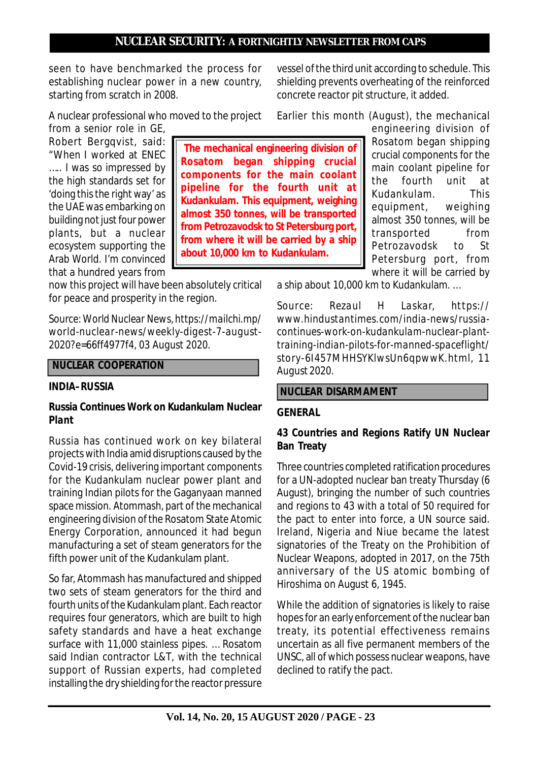**The mechanical engineering division of Rosatom began shipping crucial components for the main coolant pipeline for the fourth unit at Kudankulam. This equipment, weighing almost 350 tonnes, will be transported from Petrozavodsk to St Petersburg port, from where it will be carried by a ship**

**about 10,000 km to Kudankulam.**

seen to have benchmarked the process for establishing nuclear power in a new country, starting from scratch in 2008.

A nuclear professional who moved to the project from a senior role in GE,

Robert Bergqvist, said: "When I worked at ENEC ….. I was so impressed by the high standards set for 'doing this the right way' as the UAE was embarking on building not just four power plants, but a nuclear ecosystem supporting the Arab World. I'm convinced that a hundred years from

now this project will have been absolutely critical for peace and prosperity in the region.

*Source: World Nuclear News, https://mailchi.mp/ world-nuclear-news/weekly-digest-7-august-2020?e=66ff4977f4, 03 August 2020.*

# **NUCLEAR COOPERATION**

#### **INDIA–RUSSIA**

# **Russia Continues Work on Kudankulam Nuclear Plant**

Russia has continued work on key bilateral projects with India amid disruptions caused by the Covid-19 crisis, delivering important components for the Kudankulam nuclear power plant and training Indian pilots for the Gaganyaan manned space mission. Atommash, part of the mechanical engineering division of the Rosatom State Atomic Energy Corporation, announced it had begun manufacturing a set of steam generators for the fifth power unit of the Kudankulam plant.

So far, Atommash has manufactured and shipped two sets of steam generators for the third and fourth units of the Kudankulam plant. Each reactor requires four generators, which are built to high safety standards and have a heat exchange surface with 11,000 stainless pipes. … Rosatom said Indian contractor L&T, with the technical support of Russian experts, had completed installing the dry shielding for the reactor pressure vessel of the third unit according to schedule. This shielding prevents overheating of the reinforced concrete reactor pit structure, it added.

Earlier this month (August), the mechanical

engineering division of Rosatom began shipping crucial components for the main coolant pipeline for the fourth unit at Kudankulam. This equipment, weighing almost 350 tonnes, will be transported from Petrozavodsk to St Petersburg port, from where it will be carried by

a ship about 10,000 km to Kudankulam. …

*Source: Rezaul H Laskar, https:// www.hindustantimes.com/india-news/russiacontinues-work-on-kudankulam-nuclear-planttraining-indian-pilots-for-manned-spaceflight/ story-6I457MHHSYKlwsUn6qpwwK.html, 11 August 2020.*

# **NUCLEAR DISARMAMENT**

# **GENERAL**

# **43 Countries and Regions Ratify UN Nuclear Ban Treaty**

Three countries completed ratification procedures for a UN-adopted nuclear ban treaty Thursday (6 August), bringing the number of such countries and regions to 43 with a total of 50 required for the pact to enter into force, a UN source said. Ireland, Nigeria and Niue became the latest signatories of the Treaty on the Prohibition of Nuclear Weapons, adopted in 2017, on the 75th anniversary of the US atomic bombing of Hiroshima on August 6, 1945.

While the addition of signatories is likely to raise hopes for an early enforcement of the nuclear ban treaty, its potential effectiveness remains uncertain as all five permanent members of the UNSC, all of which possess nuclear weapons, have declined to ratify the pact.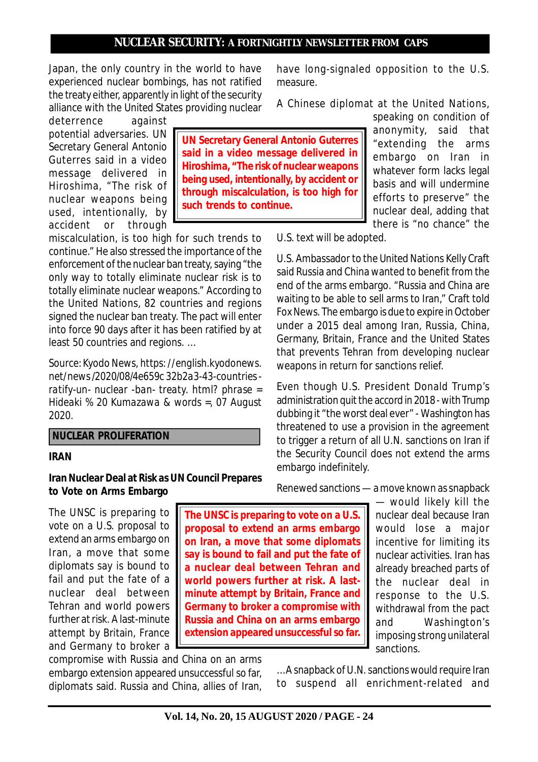Japan, the only country in the world to have experienced nuclear bombings, has not ratified the treaty either, apparently in light of the security alliance with the United States providing nuclear

deterrence against potential adversaries. UN Secretary General Antonio Guterres said in a video message delivered in Hiroshima, "The risk of nuclear weapons being used, intentionally, by accident or through

miscalculation, is too high for such trends to continue." He also stressed the importance of the enforcement of the nuclear ban treaty, saying "the only way to totally eliminate nuclear risk is to totally eliminate nuclear weapons." According to the United Nations, 82 countries and regions signed the nuclear ban treaty. The pact will enter into force 90 days after it has been ratified by at least 50 countries and regions. …

*Source: Kyodo News, https: //english.kyodonews. net/news /2020/08/4e659c 32b2a3-43-countries ratify-un- nuclear -ban- treaty. html? phrase = Hideaki % 20 Kumazawa & words =, 07 August 2020.*

#### **NUCLEAR PROLIFERATION**

#### **IRAN**

#### **Iran Nuclear Deal at Risk as UN Council Prepares to Vote on Arms Embargo**

The UNSC is preparing to vote on a U.S. proposal to extend an arms embargo on Iran, a move that some diplomats say is bound to fail and put the fate of a nuclear deal between Tehran and world powers further at risk. A last-minute attempt by Britain, France and Germany to broker a

**The UNSC is preparing to vote on a U.S. proposal to extend an arms embargo on Iran, a move that some diplomats say is bound to fail and put the fate of a nuclear deal between Tehran and world powers further at risk. A lastminute attempt by Britain, France and Germany to broker a compromise with Russia and China on an arms embargo extension appeared unsuccessful so far.**

compromise with Russia and China on an arms embargo extension appeared unsuccessful so far, diplomats said. Russia and China, allies of Iran, have long-signaled opposition to the U.S. measure.

A Chinese diplomat at the United Nations,

speaking on condition of anonymity, said that "extending the arms embargo on Iran in whatever form lacks legal basis and will undermine efforts to preserve" the nuclear deal, adding that there is "no chance" the

U.S. text will be adopted.

U.S. Ambassador to the United Nations Kelly Craft said Russia and China wanted to benefit from the end of the arms embargo. "Russia and China are waiting to be able to sell arms to Iran," Craft told Fox News. The embargo is due to expire in October under a 2015 deal among Iran, Russia, China, Germany, Britain, France and the United States that prevents Tehran from developing nuclear weapons in return for sanctions relief.

Even though U.S. President Donald Trump's administration quit the accord in 2018 - with Trump dubbing it "the worst deal ever" - Washington has threatened to use a provision in the agreement to trigger a return of all U.N. sanctions on Iran if the Security Council does not extend the arms embargo indefinitely.

Renewed sanctions — a move known as snapback

— would likely kill the nuclear deal because Iran would lose a major incentive for limiting its nuclear activities. Iran has already breached parts of the nuclear deal in response to the U.S. withdrawal from the pact and Washington's imposing strong unilateral sanctions.

… A snapback of U.N. sanctions would require Iran to suspend all enrichment-related and

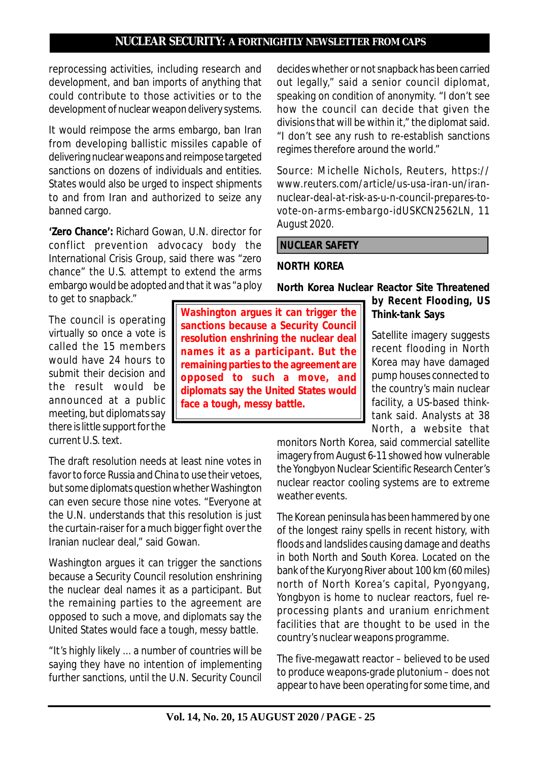reprocessing activities, including research and development, and ban imports of anything that could contribute to those activities or to the development of nuclear weapon delivery systems.

It would reimpose the arms embargo, ban Iran from developing ballistic missiles capable of delivering nuclear weapons and reimpose targeted sanctions on dozens of individuals and entities. States would also be urged to inspect shipments to and from Iran and authorized to seize any banned cargo.

*'Zero Chance':* Richard Gowan, U.N. director for conflict prevention advocacy body the International Crisis Group, said there was "zero chance" the U.S. attempt to extend the arms embargo would be adopted and that it was "a ploy to get to snapback."

The council is operating virtually so once a vote is called the 15 members would have 24 hours to submit their decision and the result would be announced at a public meeting, but diplomats say there is little support for the current U.S. text.

The draft resolution needs at least nine votes in favor to force Russia and China to use their vetoes, but some diplomats question whether Washington can even secure those nine votes. "Everyone at the U.N. understands that this resolution is just the curtain-raiser for a much bigger fight over the Iranian nuclear deal," said Gowan.

Washington argues it can trigger the sanctions because a Security Council resolution enshrining the nuclear deal names it as a participant. But the remaining parties to the agreement are opposed to such a move, and diplomats say the United States would face a tough, messy battle.

"It's highly likely ... a number of countries will be saying they have no intention of implementing further sanctions, until the U.N. Security Council

decides whether or not snapback has been carried out legally," said a senior council diplomat, speaking on condition of anonymity. "I don't see how the council can decide that given the divisions that will be within it," the diplomat said. "I don't see any rush to re-establish sanctions regimes therefore around the world."

*Source: Michelle Nichols, Reuters, https:// www.reuters.com/article/us-usa-iran-un/irannuclear-deal-at-risk-as-u-n-council-prepares-tovote-on-arms-embargo-idUSKCN2562LN, 11 August 2020.*

#### **NUCLEAR SAFETY**

#### **NORTH KOREA**

**North Korea Nuclear Reactor Site Threatened**

**Washington argues it can trigger the sanctions because a Security Council resolution enshrining the nuclear deal names it as a participant. But the remaining parties to the agreement are opposed to such a move, and diplomats say the United States would face a tough, messy battle.**

# **by Recent Flooding, US Think-tank Says**

Satellite imagery suggests recent flooding in North Korea may have damaged pump houses connected to the country's main nuclear facility, a US-based thinktank said. Analysts at 38 North, a website that

monitors North Korea, said commercial satellite imagery from August 6-11 showed how vulnerable the Yongbyon Nuclear Scientific Research Center's nuclear reactor cooling systems are to extreme weather events.

The Korean peninsula has been hammered by one of the longest rainy spells in recent history, with floods and landslides causing damage and deaths in both North and South Korea. Located on the bank of the Kuryong River about 100 km (60 miles) north of North Korea's capital, Pyongyang, Yongbyon is home to nuclear reactors, fuel reprocessing plants and uranium enrichment facilities that are thought to be used in the country's nuclear weapons programme.

The five-megawatt reactor – believed to be used to produce weapons-grade plutonium – does not appear to have been operating for some time, and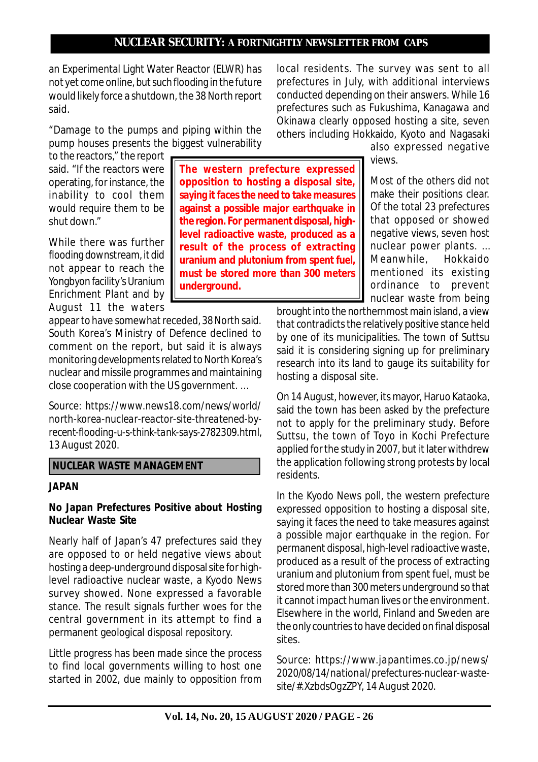an Experimental Light Water Reactor (ELWR) has not yet come online, but such flooding in the future would likely force a shutdown, the 38 North report said.

"Damage to the pumps and piping within the pump houses presents the biggest vulnerability

to the reactors," the report said. "If the reactors were operating, for instance, the inability to cool them would require them to be shut down."

While there was further flooding downstream, it did not appear to reach the Yongbyon facility's Uranium Enrichment Plant and by August 11 the waters

appear to have somewhat receded, *38 North* said. South Korea's Ministry of Defence declined to comment on the report, but said it is always monitoring developments related to North Korea's nuclear and missile programmes and maintaining close cooperation with the US government. …

*Source: https://www.news18.com/news/world/ north-korea-nuclear-reactor-site-threatened-byrecent-flooding-u-s-think-tank-says-2782309.html, 13 August 2020.*

# **NUCLEAR WASTE MANAGEMENT**

#### **JAPAN**

#### **No Japan Prefectures Positive about Hosting Nuclear Waste Site**

Nearly half of Japan's 47 prefectures said they are opposed to or held negative views about hosting a deep-underground disposal site for highlevel radioactive nuclear waste, a Kyodo News survey showed. None expressed a favorable stance. The result signals further woes for the central government in its attempt to find a permanent geological disposal repository.

Little progress has been made since the process to find local governments willing to host one started in 2002, due mainly to opposition from local residents. The survey was sent to all prefectures in July, with additional interviews conducted depending on their answers. While 16 prefectures such as Fukushima, Kanagawa and Okinawa clearly opposed hosting a site, seven others including Hokkaido, Kyoto and Nagasaki

also expressed negative views.

Most of the others did not make their positions clear. Of the total 23 prefectures that opposed or showed negative views, seven host nuclear power plants. … Meanwhile, Hokkaido mentioned its existing ordinance to prevent nuclear waste from being

brought into the northernmost main island, a view that contradicts the relatively positive stance held by one of its municipalities. The town of Suttsu said it is considering signing up for preliminary research into its land to gauge its suitability for hosting a disposal site.

On 14 August, however, its mayor, Haruo Kataoka, said the town has been asked by the prefecture not to apply for the preliminary study. Before Suttsu, the town of Toyo in Kochi Prefecture applied for the study in 2007, but it later withdrew the application following strong protests by local residents.

In the Kyodo News poll, the western prefecture expressed opposition to hosting a disposal site, saying it faces the need to take measures against a possible major earthquake in the region. For permanent disposal, high-level radioactive waste, produced as a result of the process of extracting uranium and plutonium from spent fuel, must be stored more than 300 meters underground so that it cannot impact human lives or the environment. Elsewhere in the world, Finland and Sweden are the only countries to have decided on final disposal sites.

*Source: https://www.japantimes.co.jp/news/ 2020/08/14/national/prefectures-nuclear-wastesite/#.XzbdsOgzZPY, 14 August 2020.*

**The western prefecture expressed opposition to hosting a disposal site, saying it faces the need to take measures against a possible major earthquake in the region. For permanent disposal, highlevel radioactive waste, produced as a result of the process of extracting uranium and plutonium from spent fuel, must be stored more than 300 meters underground.**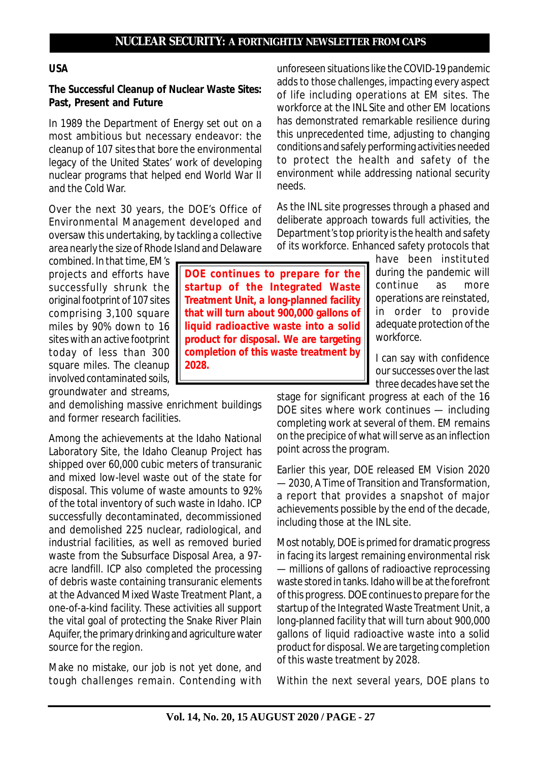# **USA**

### **The Successful Cleanup of Nuclear Waste Sites: Past, Present and Future**

In 1989 the Department of Energy set out on a most ambitious but necessary endeavor: the cleanup of 107 sites that bore the environmental legacy of the United States' work of developing nuclear programs that helped end World War II and the Cold War.

Over the next 30 years, the DOE's Office of Environmental Management developed and oversaw this undertaking, by tackling a collective area nearly the size of Rhode Island and Delaware

combined. In that time, EM's projects and efforts have successfully shrunk the original footprint of 107 sites comprising 3,100 square miles by 90% down to 16 sites with an active footprint today of less than 300 square miles. The cleanup involved contaminated soils, groundwater and streams,

and demolishing massive enrichment buildings and former research facilities.

Among the achievements at the Idaho National Laboratory Site, the Idaho Cleanup Project has shipped over 60,000 cubic meters of transuranic and mixed low-level waste out of the state for disposal. This volume of waste amounts to 92% of the total inventory of such waste in Idaho. ICP successfully decontaminated, decommissioned and demolished 225 nuclear, radiological, and industrial facilities, as well as removed buried waste from the Subsurface Disposal Area, a 97 acre landfill. ICP also completed the processing of debris waste containing transuranic elements at the Advanced Mixed Waste Treatment Plant, a one-of-a-kind facility. These activities all support the vital goal of protecting the Snake River Plain Aquifer, the primary drinking and agriculture water source for the region.

Make no mistake, our job is not yet done, and tough challenges remain. Contending with unforeseen situations like the COVID-19 pandemic adds to those challenges, impacting every aspect of life including operations at EM sites. The workforce at the INL Site and other EM locations has demonstrated remarkable resilience during this unprecedented time, adjusting to changing conditions and safely performing activities needed to protect the health and safety of the environment while addressing national security needs.

As the INL site progresses through a phased and deliberate approach towards full activities, the Department's top priority is the health and safety of its workforce. Enhanced safety protocols that

have been instituted during the pandemic will continue as more operations are reinstated, in order to provide adequate protection of the workforce.

I can say with confidence our successes over the last three decades have set the

stage for significant progress at each of the 16 DOE sites where work continues — including completing work at several of them. EM remains on the precipice of what will serve as an inflection point across the program.

Earlier this year, DOE released EM Vision 2020 — 2030, A Time of Transition and Transformation, a report that provides a snapshot of major achievements possible by the end of the decade, including those at the INL site.

Most notably, DOE is primed for dramatic progress in facing its largest remaining environmental risk — millions of gallons of radioactive reprocessing waste stored in tanks. Idaho will be at the forefront of this progress. DOE continues to prepare for the startup of the Integrated Waste Treatment Unit, a long-planned facility that will turn about 900,000 gallons of liquid radioactive waste into a solid product for disposal. We are targeting completion of this waste treatment by 2028.

Within the next several years, DOE plans to

**DOE continues to prepare for the startup of the Integrated Waste Treatment Unit, a long-planned facility that will turn about 900,000 gallons of liquid radioactive waste into a solid product for disposal. We are targeting completion of this waste treatment by 2028.**